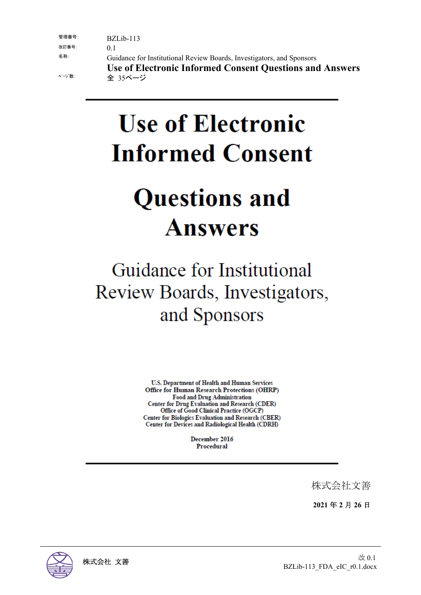| 管理番号:  | $BZLib-113$                                                           |
|--------|-----------------------------------------------------------------------|
| 改訂番号:  | 0.1                                                                   |
| 名称:    | Guidance for Institutional Review Boards, Investigators, and Sponsors |
|        | Use of Electronic Informed Consent Questions and Answers              |
| ページ 数: | 全 35ページ                                                               |

# **Use of Electronic Informed Consent**

## **Questions and Answers**

## Guidance for Institutional Review Boards, Investigators, and Sponsors

U.S. Department of Health and Human Services **Office for Human Research Protections (OHRP) Food and Drug Administration Center for Drug Evaluation and Research (CDER)** Office of Good Clinical Practice (OGCP) Center for Biologics Evaluation and Research (CBER) Center for Devices and Radiological Health (CDRH)

> December 2016 Procedural

> > 株式会社文善

**2021** 年 **2** 月 **26** 日

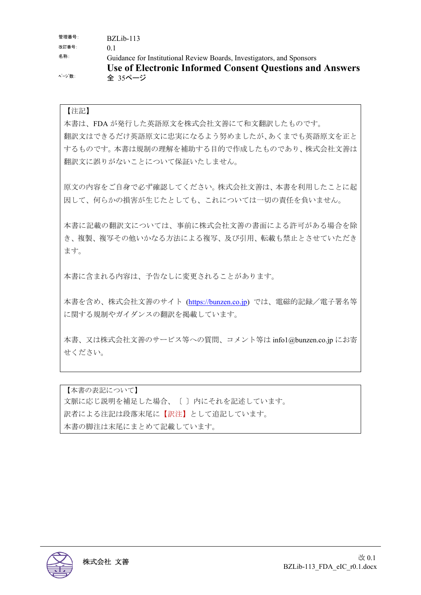| 管理番号: | BZLib-113                                                             |
|-------|-----------------------------------------------------------------------|
| 改訂番号: | 0 <sup>1</sup>                                                        |
| 名称:   | Guidance for Institutional Review Boards, Investigators, and Sponsors |
|       | <b>Use of Electronic Informed Consent Questions and Answers</b>       |
| ページ数: | 全 35ページ                                                               |

#### 【注記】

本書は、FDA が発行した英語原文を株式会社文善にて和文翻訳したものです。 翻訳文はできるだけ英語原文に忠実になるよう努めましたが、あくまでも英語原文を正と するものです。本書は規制の理解を補助する目的で作成したものであり、株式会社文善は 翻訳文に誤りがないことについて保証いたしません。

原文の内容をご自身で必ず確認してください。株式会社文善は、本書を利用したことに起 因して、何らかの損害が生じたとしても、これについては一切の責任を負いません。

本書に記載の翻訳文については、事前に株式会社文善の書面による許可がある場合を除 き、複製、複写その他いかなる方法による複写、及び引用、転載も禁止とさせていただき ます。

本書に含まれる内容は、予告なしに変更されることがあります。

本書を含め、株式会社文善のサイト (https://bunzen.co.jp) では、電磁的記録/電子署名等 に関する規制やガイダンスの翻訳を掲載しています。

本書、又は株式会社文善のサービス等への質問、コメント等は info1@bunzen.co.jp にお寄 せください。

【本書の表記について】 文脈に応じ説明を補足した場合、〔 〕内にそれを記述しています。 訳者による注記は段落末尾に【訳注】として追記しています。 本書の脚注は末尾にまとめて記載しています。

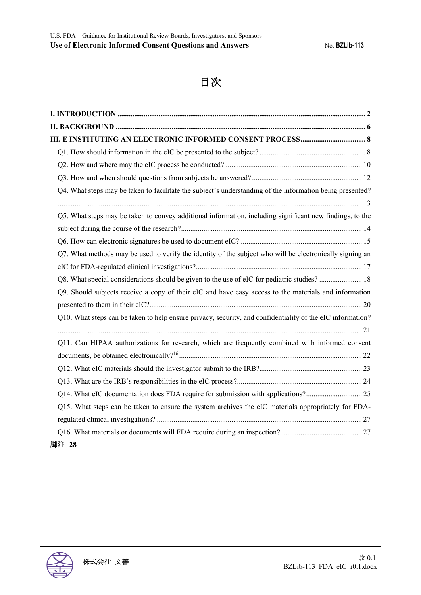## 目次

| Q4. What steps may be taken to facilitate the subject's understanding of the information being presented?  |  |
|------------------------------------------------------------------------------------------------------------|--|
|                                                                                                            |  |
| Q5. What steps may be taken to convey additional information, including significant new findings, to the   |  |
|                                                                                                            |  |
|                                                                                                            |  |
| Q7. What methods may be used to verify the identity of the subject who will be electronically signing an   |  |
|                                                                                                            |  |
| Q8. What special considerations should be given to the use of eIC for pediatric studies?  18               |  |
| Q9. Should subjects receive a copy of their eIC and have easy access to the materials and information      |  |
|                                                                                                            |  |
| Q10. What steps can be taken to help ensure privacy, security, and confidentiality of the eIC information? |  |
|                                                                                                            |  |
| Q11. Can HIPAA authorizations for research, which are frequently combined with informed consent            |  |
|                                                                                                            |  |
|                                                                                                            |  |
|                                                                                                            |  |
| Q14. What eIC documentation does FDA require for submission with applications?25                           |  |
| Q15. What steps can be taken to ensure the system archives the eIC materials appropriately for FDA-        |  |
|                                                                                                            |  |
|                                                                                                            |  |
| 脚注 28                                                                                                      |  |

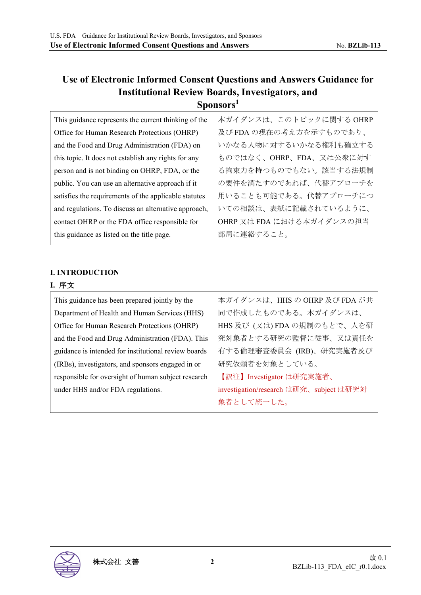## **Use of Electronic Informed Consent Questions and Answers Guidance for Institutional Review Boards, Investigators, and Sponsors<sup>1</sup>**

| This guidance represents the current thinking of the  | 本ガイダンスは、このトピックに関するOHRP    |
|-------------------------------------------------------|---------------------------|
| Office for Human Research Protections (OHRP)          | 及び FDA の現在の考え方を示すものであり、   |
| and the Food and Drug Administration (FDA) on         | いかなる人物に対するいかなる権利も確立する     |
| this topic. It does not establish any rights for any  | ものではなく、OHRP、FDA、又は公衆に対す   |
| person and is not binding on OHRP, FDA, or the        | る拘束力を持つものでもない。該当する法規制     |
| public. You can use an alternative approach if it     | の要件を満たすのであれば、代替アプローチを     |
| satisfies the requirements of the applicable statutes | 用いることも可能である。代替アプローチにつ     |
| and regulations. To discuss an alternative approach,  | いての相談は、表紙に記載されているように、     |
| contact OHRP or the FDA office responsible for        | OHRP 又は FDA における本ガイダンスの担当 |
| this guidance as listed on the title page.            | 部局に連絡すること。                |
|                                                       |                           |

#### **I. INTRODUCTION**

## **I.** 序文

| This guidance has been prepared jointly by the       | 本ガイダンスは、HHS の OHRP 及び FDA が共            |
|------------------------------------------------------|-----------------------------------------|
| Department of Health and Human Services (HHS)        | 同で作成したものである。本ガイダンスは、                    |
| Office for Human Research Protections (OHRP)         | HHS 及び (又は)FDA の規制のもとで、人を研              |
| and the Food and Drug Administration (FDA). This     | 究対象者とする研究の監督に従事、又は責任を                   |
| guidance is intended for institutional review boards | 有する倫理審査委員会 (IRB)、研究実施者及び                |
| (IRBs), investigators, and sponsors engaged in or    | 研究依頼者を対象としている。                          |
| responsible for oversight of human subject research  | 【訳注】Investigator は研究実施者、                |
| under HHS and/or FDA regulations.                    | investigation/research は研究、subject は研究対 |
|                                                      | 象者として統一した。                              |

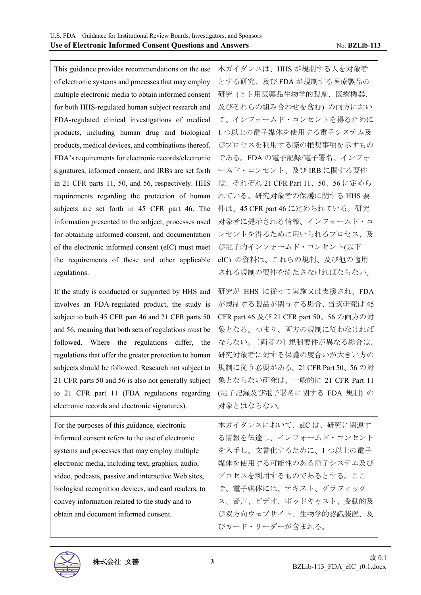| This guidance provides recommendations on the use      | 本ガイダンスは、HHS が規制する人を対象者                 |
|--------------------------------------------------------|----------------------------------------|
| of electronic systems and processes that may employ    | とする研究、及び FDA が規制する医療製品の                |
| multiple electronic media to obtain informed consent   | 研究 (ヒト用医薬品生物学的製剤、医療機器、                 |
| for both HHS-regulated human subject research and      | 及びそれらの組み合わせを含む) の両方におい                 |
| FDA-regulated clinical investigations of medical       | て、インフォームド・コンセントを得るために                  |
| products, including human drug and biological          | 1つ以上の電子媒体を使用する電子システム及                  |
| products, medical devices, and combinations thereof.   | びプロセスを利用する際の推奨事項を示すもの                  |
| FDA's requirements for electronic records/electronic   | である。FDA の電子記録/電子署名、インフォ                |
| signatures, informed consent, and IRBs are set forth   | ームド・コンセント、及びIRBに関する要件                  |
| in 21 CFR parts 11, 50, and 56, respectively. HHS      | は、それぞれ 21 CFR Part 11、50、56 に定めら       |
| requirements regarding the protection of human         | れている。研究対象者の保護に関する HHS 要                |
| subjects are set forth in 45 CFR part 46. The          | 件は、45 CFR part 46 に定められている。研究          |
| information presented to the subject, processes used   | 対象者に提示される情報、インフォームド・コ                  |
| for obtaining informed consent, and documentation      | ンセントを得るために用いられるプロセス、及                  |
| of the electronic informed consent (eIC) must meet     | び電子的インフォームド・コンセント(以下                   |
| the requirements of these and other applicable         | eIC) の資料は、これらの規制、及び他の適用                |
| regulations.                                           | される規制の要件を満たさなければならない。                  |
| If the study is conducted or supported by HHS and      | 研究が HHS に従って実施又は支援され、FDA               |
| involves an FDA-regulated product, the study is        | が規制する製品が関与する場合、当該研究は45                 |
| subject to both 45 CFR part 46 and 21 CFR parts 50     | CFR part 46 及び 21 CFR part 50、56 の両方の対 |
| and 56, meaning that both sets of regulations must be  | 象となる。つまり、両方の規制に従わなければ                  |
| followed. Where the regulations differ,<br>the         | ならない。〔両者の〕規制要件が異なる場合は、                 |
| regulations that offer the greater protection to human | 研究対象者に対する保護の度合いが大きい方の                  |
| subjects should be followed. Research not subject to   | 規制に従う必要がある。21 CFR Part 50、56 の対        |
| 21 CFR parts 50 and 56 is also not generally subject   | 象とならない研究は、一般的に 21 CFR Part 11          |
| to 21 CFR part 11 (FDA regulations regarding           | (電子記録及び電子署名に関する FDA 規制) の              |
| electronic records and electronic signatures).         | 対象とはならない。                              |
| For the purposes of this guidance, electronic          | 本ガイダンスにおいて、eICは、研究に関連す                 |
| informed consent refers to the use of electronic       | る情報を伝達し、インフォームド・コンセント                  |
| systems and processes that may employ multiple         | を入手し、文書化するために、1つ以上の電子                  |
| electronic media, including text, graphics, audio,     | 媒体を使用する可能性のある電子システム及び                  |
| video, podcasts, passive and interactive Web sites,    | プロセスを利用するものであるとする。ここ                   |
| biological recognition devices, and card readers, to   | で、電子媒体には、テキスト、グラフィック                   |
| convey information related to the study and to         | ス、音声、ビデオ、ポッドキャスト、受動的及                  |
| obtain and document informed consent.                  | び双方向ウェブサイト、生物学的認識装置、及                  |
|                                                        |                                        |

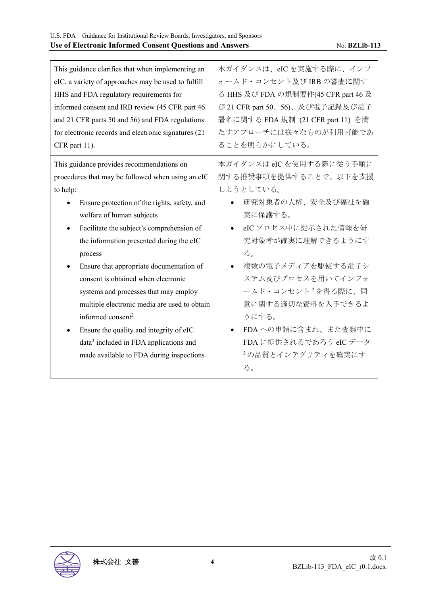| This guidance clarifies that when implementing an<br>eIC, a variety of approaches may be used to fulfill<br>HHS and FDA regulatory requirements for<br>informed consent and IRB review (45 CFR part 46<br>and 21 CFR parts 50 and 56) and FDA regulations<br>for electronic records and electronic signatures (21)<br>CFR part 11).                                                                                                                                                                                                                 | 本ガイダンスは、eICを実施する際に、インフ<br>オームド・コンセント及び IRB の審査に関す<br>る HHS 及び FDA の規制要件(45 CFR part 46 及<br>び 21 CFR part 50、56)、及び電子記録及び電子<br>署名に関する FDA 規制 (21 CFR part 11) を満<br>たすアプローチには様々なものが利用可能であ<br>ることを明らかにしている。                                                                        |
|-----------------------------------------------------------------------------------------------------------------------------------------------------------------------------------------------------------------------------------------------------------------------------------------------------------------------------------------------------------------------------------------------------------------------------------------------------------------------------------------------------------------------------------------------------|-----------------------------------------------------------------------------------------------------------------------------------------------------------------------------------------------------------------------------------------------------------------------------------|
| This guidance provides recommendations on                                                                                                                                                                                                                                                                                                                                                                                                                                                                                                           | 本ガイダンスは eIC を使用する際に従う手順に                                                                                                                                                                                                                                                          |
| procedures that may be followed when using an eIC                                                                                                                                                                                                                                                                                                                                                                                                                                                                                                   | 関する推奨事項を提供することで、以下を支援<br>しようとしている。                                                                                                                                                                                                                                                |
| to help:<br>Ensure protection of the rights, safety, and<br>welfare of human subjects<br>Facilitate the subject's comprehension of<br>the information presented during the eIC<br>process<br>Ensure that appropriate documentation of<br>consent is obtained when electronic<br>systems and processes that may employ<br>multiple electronic media are used to obtain<br>informed consent <sup>2</sup><br>Ensure the quality and integrity of eIC<br>data <sup>3</sup> included in FDA applications and<br>made available to FDA during inspections | 研究対象者の人権、安全及び福祉を確<br>実に保護する。<br>eIC プロセス中に提示された情報を研<br>$\bullet$<br>究対象者が確実に理解できるようにす<br>る。<br>複数の電子メディアを駆使する電子シ<br>ステム及びプロセスを用いてインフォ<br>ームド・コンセント <sup>2</sup> を得る際に、同<br>意に関する適切な資料を入手できるよ<br>うにする。<br>FDA への申請に含まれ、また査察中に<br>FDA に提供されるであろう eIC データ<br>3の品質とインテグリティを確実にす<br>る。 |

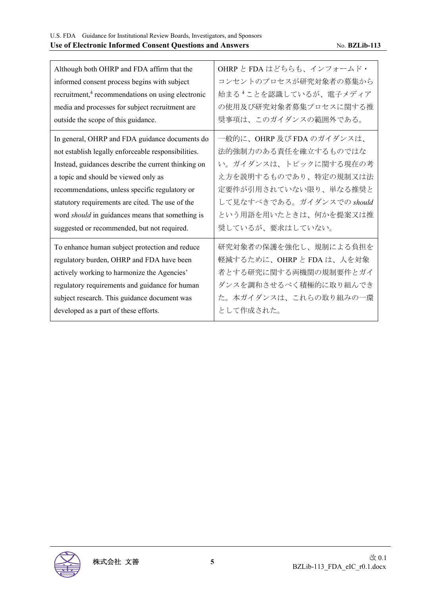| Although both OHRP and FDA affirm that the                    | OHRP と FDA はどちらも、インフォームド・          |
|---------------------------------------------------------------|------------------------------------|
| informed consent process begins with subject                  | コンセントのプロセスが研究対象者の募集から              |
| recruitment, <sup>4</sup> recommendations on using electronic | 始まる <sup>4</sup> ことを認識しているが、電子メディア |
| media and processes for subject recruitment are               | の使用及び研究対象者募集プロセスに関する推              |
| outside the scope of this guidance.                           | 奨事項は、このガイダンスの範囲外である。               |
| In general, OHRP and FDA guidance documents do                | 一般的に、OHRP 及び FDA のガイダンスは、          |
| not establish legally enforceable responsibilities.           | 法的強制力のある責任を確立するものではな               |
| Instead, guidances describe the current thinking on           | い。ガイダンスは、トピックに関する現在の考              |
| a topic and should be viewed only as                          | え方を説明するものであり、特定の規制又は法              |
| recommendations, unless specific regulatory or                | 定要件が引用されていない限り、単なる推奨と              |
| statutory requirements are cited. The use of the              | して見なすべきである。ガイダンスでの should          |
| word should in guidances means that something is              | という用語を用いたときは、何かを提案又は推              |
| suggested or recommended, but not required.                   | 奨しているが、要求はしていない。                   |
| To enhance human subject protection and reduce                | 研究対象者の保護を強化し、規制による負担を              |
| regulatory burden, OHRP and FDA have been                     | 軽減するために、OHRP と FDA は、人を対象          |
| actively working to harmonize the Agencies'                   | 者とする研究に関する両機関の規制要件とガイ              |
| regulatory requirements and guidance for human                | ダンスを調和させるべく積極的に取り組んでき              |
| subject research. This guidance document was                  | た。本ガイダンスは、これらの取り組みの一環              |
| developed as a part of these efforts.                         | として作成された。                          |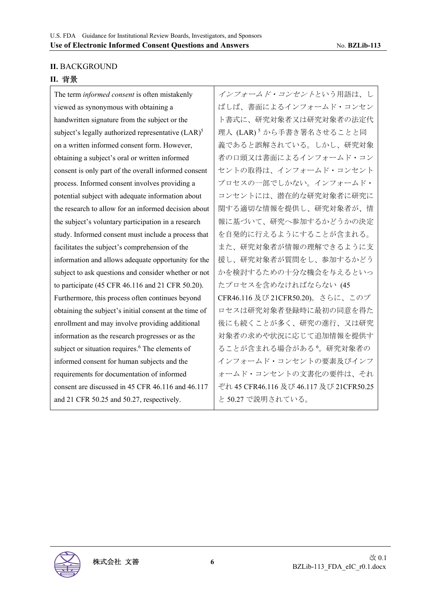#### **II.** BACKGROUND

#### **II.** 背景

The term *informed consent* is often mistakenly viewed as synonymous with obtaining a handwritten signature from the subject or the subject's legally authorized representative (LAR)<sup>5</sup> on a written informed consent form. However, obtaining a subject's oral or written informed consent is only part of the overall informed consent process. Informed consent involves providing a potential subject with adequate information about the research to allow for an informed decision about the subject's voluntary participation in a research study. Informed consent must include a process that facilitates the subject's comprehension of the information and allows adequate opportunity for the subject to ask questions and consider whether or not to participate (45 CFR 46.116 and 21 CFR 50.20). Furthermore, this process often continues beyond obtaining the subject's initial consent at the time of enrollment and may involve providing additional information as the research progresses or as the subject or situation requires.<sup>6</sup> The elements of informed consent for human subjects and the requirements for documentation of informed consent are discussed in 45 CFR 46.116 and 46.117 and 21 CFR 50.25 and 50.27, respectively.

インフォームド・コンセントという用語は、し ばしば、書面によるインフォームド・コンセン ト書式に、研究対象者又は研究対象者の法定代 理人 (LAR)<sup>5</sup>から手書き署名させることと同 義であると誤解されている。しかし、研究対象 者の口頭又は書面によるインフォームド・コン セントの取得は、インフォームド・コンセント プロセスの一部でしかない。インフォームド・ コンセントには、潜在的な研究対象者に研究に 関する適切な情報を提供し、研究対象者が、情 報に基づいて、研究へ参加するかどうかの決定 を自発的に行えるようにすることが含まれる。 また、研究対象者が情報の理解できるように支 援し、研究対象者が質問をし、参加するかどう かを検討するための十分な機会を与えるといっ たプロセスを含めなければならない (45 CFR46.116 及び 21CFR50.20)。さらに、このプ ロセスは研究対象者登録時に最初の同意を得た 後にも続くことが多く、研究の進行、又は研究 対象者の求めや状況に応じて追加情報を提供す ることが含まれる場合がある <sup>6</sup> 。研究対象者の インフォームド・コンセントの要素及びインフ ォームド・コンセントの文書化の要件は、それ ぞれ 45 CFR46.116 及び 46.117 及び 21CFR50.25 と 50.27 で説明されている。

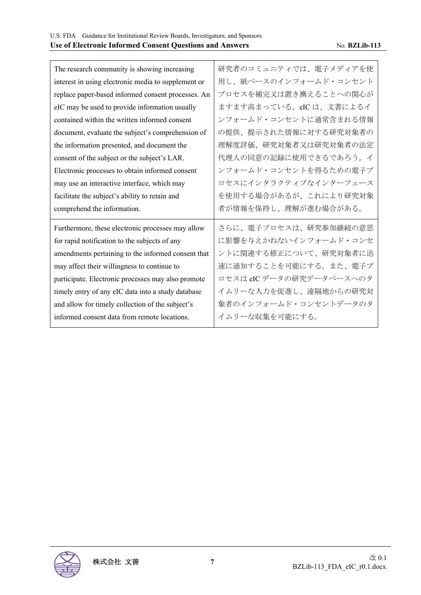| The research community is showing increasing        | 研究者のコミュニティでは、電子メディアを使  |
|-----------------------------------------------------|------------------------|
| interest in using electronic media to supplement or | 用し、紙ベースのインフォームド・コンセント  |
| replace paper-based informed consent processes. An  | プロセスを補完又は置き換えることへの関心が  |
| eIC may be used to provide information usually      | ますます高まっている。eICは、文書によるイ |
| contained within the written informed consent       | ンフォームド・コンセントに通常含まれる情報  |
| document, evaluate the subject's comprehension of   | の提供、提示された情報に対する研究対象者の  |
| the information presented, and document the         | 理解度評価、研究対象者又は研究対象者の法定  |
| consent of the subject or the subject's LAR.        | 代理人の同意の記録に使用できるであろう。イ  |
| Electronic processes to obtain informed consent     | ンフォームド・コンセントを得るための電子プ  |
| may use an interactive interface, which may         | ロセスにインタラクティブなインターフェース  |
|                                                     |                        |
| facilitate the subject's ability to retain and      | を使用する場合があるが、これにより研究対象  |
| comprehend the information.                         | 者が情報を保持し、理解が進む場合がある。   |
| Furthermore, these electronic processes may allow   | さらに、電子プロセスは、研究参加継続の意思  |
| for rapid notification to the subjects of any       | に影響を与えかねないインフォームド・コンセ  |
| amendments pertaining to the informed consent that  | ントに関連する修正について、研究対象者に迅  |
| may affect their willingness to continue to         | 速に通知することを可能にする。また、電子プ  |
| participate. Electronic processes may also promote  | ロセスはeICデータの研究データベースへのタ |
| timely entry of any eIC data into a study database  | イムリーな入力を促進し、遠隔地からの研究対  |
| and allow for timely collection of the subject's    | 象者のインフォームド・コンセントデータのタ  |
| informed consent data from remote locations.        | イムリーな収集を可能にする。         |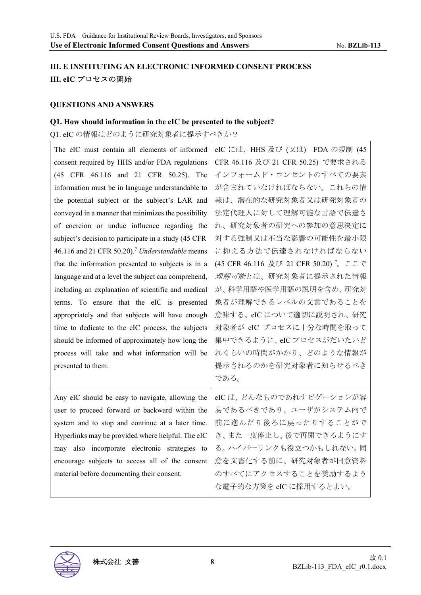## **III. E INSTITUTING AN ELECTRONIC INFORMED CONSENT PROCESS III. eIC** プロセスの開始

#### **QUESTIONS AND ANSWERS**

#### **Q1. How should information in the eIC be presented to the subject?**

### Q1. eIC の情報はどのように研究対象者に提示すべきか?

| The eIC must contain all elements of informed               | eIC には、HHS 及び (又は) FDA の規制 (45        |
|-------------------------------------------------------------|---------------------------------------|
| consent required by HHS and/or FDA regulations              | CFR 46.116 及び 21 CFR 50.25) で要求される    |
| (45 CFR 46.116 and 21 CFR 50.25). The                       | インフォームド・コンセントのすべての要素                  |
| information must be in language understandable to           | が含まれていなければならない。これらの情                  |
| the potential subject or the subject's LAR and              | 報は、潜在的な研究対象者又は研究対象者の                  |
| conveyed in a manner that minimizes the possibility         | 法定代理人に対して理解可能な言語で伝達さ                  |
| of coercion or undue influence regarding the                | れ、研究対象者の研究への参加の意思決定に                  |
| subject's decision to participate in a study (45 CFR        | 対する強制又は不当な影響の可能性を最小限                  |
| 46.116 and 21 CFR 50.20). <sup>7</sup> Understandable means | に抑える方法で伝達されなければならない                   |
| that the information presented to subjects is in a          | (45 CFR 46.116 及び 21 CFR 50.20) 7。ここで |
| language and at a level the subject can comprehend,         | 理解可能とは、研究対象者に提示された情報                  |
| including an explanation of scientific and medical          | が、科学用語や医学用語の説明を含め、研究対                 |
| terms. To ensure that the eIC is presented                  | 象者が理解できるレベルの文言であることを                  |
| appropriately and that subjects will have enough            | 意味する。eIC について適切に説明され、研究               |
| time to dedicate to the eIC process, the subjects           | 対象者が eIC プロセスに十分な時間を取って               |
| should be informed of approximately how long the            | 集中できるように、eICプロセスがだいたいど                |
| process will take and what information will be              | れくらいの時間がかかり、どのような情報が                  |
| presented to them.                                          | 提示されるのかを研究対象者に知らせるべき                  |
|                                                             | である。                                  |
| Any eIC should be easy to navigate, allowing the            | eICは、どんなものであれナビゲーションが容                |
| user to proceed forward or backward within the              | 易であるべきであり、ユーザがシステム内で                  |
| system and to stop and continue at a later time.            | 前に進んだり後ろに戻ったりすることがで                   |
| Hyperlinks may be provided where helpful. The eIC           | き、また一度停止し、後で再開できるようにす                 |
| may also incorporate electronic strategies to               | る。ハイパーリンクも役立つかもしれない。同                 |
| encourage subjects to access all of the consent             | 意を文書化する前に、研究対象者が同意資料                  |
| material before documenting their consent.                  | のすべてにアクセスすることを奨励するよう                  |
|                                                             | な電子的な方策を eIC に採用するとよい。                |

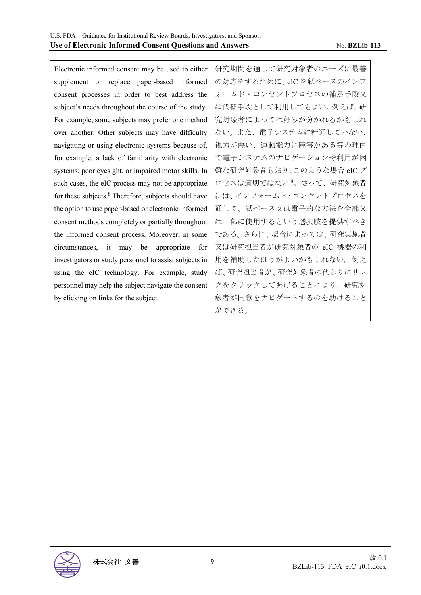Electronic informed consent may be used to either supplement or replace paper-based informed consent processes in order to best address the subject's needs throughout the course of the study. For example, some subjects may prefer one method over another. Other subjects may have difficulty navigating or using electronic systems because of, for example, a lack of familiarity with electronic systems, poor eyesight, or impaired motor skills. In such cases, the eIC process may not be appropriate for these subjects.<sup>8</sup> Therefore, subjects should have the option to use paper-based or electronic informed consent methods completely or partially throughout the informed consent process. Moreover, in some circumstances, it may be appropriate for investigators or study personnel to assist subjects in using the eIC technology. For example, study personnel may help the subject navigate the consent by clicking on links for the subject.

研究期間を通して研究対象者のニーズに最善 の対応をするために、eIC を紙ベースのインフ ォームド・コンセントプロセスの補足手段又 は代替手段として利用してもよい。例えば、研 究対象者によっては好みが分かれるかもしれ ない。また、電子システムに精通していない、 視力が悪い、運動能力に障害がある等の理由 で電子システムのナビゲーションや利用が困 難な研究対象者もおり、このような場合 eIC プ ロセスは適切ではない 8。従って、研究対象者 には、インフォームド・コンセントプロセスを 通して、紙ベース又は電子的な方法を全部又 は一部に使用するという選択肢を提供すべき である。さらに、場合によっては、研究実施者 又は研究担当者が研究対象者の eIC 機器の利 用を補助したほうがよいかもしれない。例え ば、研究担当者が、研究対象者の代わりにリン クをクリックしてあげることにより、研究対 象者が同意をナビゲートするのを助けること ができる。

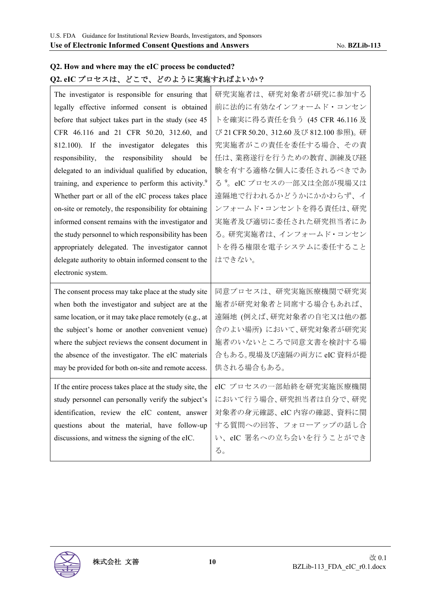## **Q2. How and where may the eIC process be conducted? Q2. eIC** プロセスは、どこで、どのように実施すればよいか?

| The investigator is responsible for ensuring that               | 研究実施者は、研究対象者が研究に参加する                  |
|-----------------------------------------------------------------|---------------------------------------|
| legally effective informed consent is obtained                  | 前に法的に有効なインフォームド・コンセン                  |
| before that subject takes part in the study (see 45             | トを確実に得る責任を負う (45 CFR 46.116 及         |
| CFR 46.116 and 21 CFR 50.20, 312.60, and                        | び 21 CFR 50.20、312.60及び 812.100 参照)。研 |
| 812.100). If the investigator delegates this                    | 究実施者がこの責任を委任する場合、その責                  |
| responsibility, the responsibility should<br>be                 | 任は、業務遂行を行うための教育、訓練及び経                 |
| delegated to an individual qualified by education,              | 験を有する適格な個人に委任されるべきであ                  |
| training, and experience to perform this activity. <sup>9</sup> | る <sup>9</sup> 。eIC プロセスの一部又は全部が現場又は  |
| Whether part or all of the eIC process takes place              | 遠隔地で行われるかどうかにかかわらず、イ                  |
| on-site or remotely, the responsibility for obtaining           | ンフォームド・コンセントを得る責任は、研究                 |
| informed consent remains with the investigator and              | 実施者及び適切に委任された研究担当者にあ                  |
| the study personnel to which responsibility has been            | る。研究実施者は、インフォームド・コンセン                 |
| appropriately delegated. The investigator cannot                | トを得る権限を電子システムに委任すること                  |
| delegate authority to obtain informed consent to the            | はできない。                                |
|                                                                 |                                       |
| electronic system.                                              |                                       |
| The consent process may take place at the study site            | 同意プロセスは、研究実施医療機関で研究実                  |
| when both the investigator and subject are at the               | 施者が研究対象者と同席する場合もあれば、                  |
| same location, or it may take place remotely (e.g., at          | 遠隔地 (例えば、研究対象者の自宅又は他の都                |
| the subject's home or another convenient venue)                 | 合のよい場所)において、研究対象者が研究実                 |
| where the subject reviews the consent document in               | 施者のいないところで同意文書を検討する場                  |
| the absence of the investigator. The eIC materials              | 合もある。現場及び遠隔の両方に eIC 資料が提              |
| may be provided for both on-site and remote access.             | 供される場合もある。                            |
| If the entire process takes place at the study site, the        | eIC プロセスの一部始終を研究実施医療機関                |
| study personnel can personally verify the subject's             | において行う場合、研究担当者は自分で、研究                 |
| identification, review the eIC content, answer                  | 対象者の身元確認、eIC 内容の確認、資料に関               |
| questions about the material, have follow-up                    | する質問への回答、フォローアップの話し合                  |
| discussions, and witness the signing of the eIC.                | い、eIC 署名への立ち会いを行うことができ                |

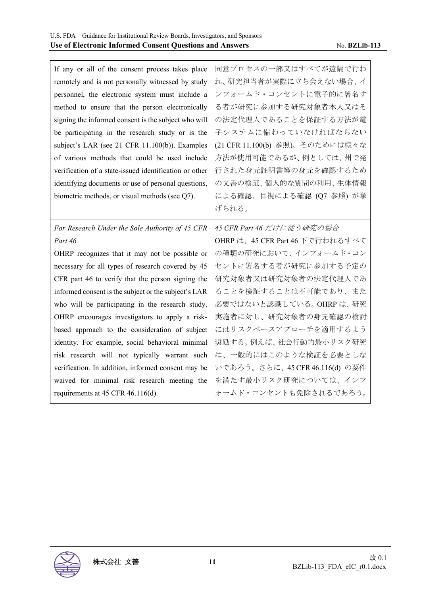| If any or all of the consent process takes place       | 同意プロセスの一部又はすべてが遠隔で行わ            |
|--------------------------------------------------------|---------------------------------|
| remotely and is not personally witnessed by study      | れ、研究担当者が実際に立ち会えない場合、イ           |
| personnel, the electronic system must include a        | ンフォームド・コンセントに電子的に署名す            |
| method to ensure that the person electronically        | る者が研究に参加する研究対象者本人又はそ            |
| signing the informed consent is the subject who will   | の法定代理人であることを保証する方法が電            |
| be participating in the research study or is the       | 子システムに備わっていなければならない             |
| subject's LAR (see 21 CFR 11.100(b)). Examples         | (21 CFR 11.100(b) 参照)。そのためには様々な |
| of various methods that could be used include          | 方法が使用可能であるが、例としては、州で発           |
| verification of a state-issued identification or other | 行された身元証明書等の身元を確認するため            |
| identifying documents or use of personal questions,    | の文書の検証、個人的な質問の利用、生体情報           |
| biometric methods, or visual methods (see Q7).         | による確認、目視による確認 (Q7 参照) が挙        |
|                                                        | げられる。                           |
| For Research Under the Sole Authority of 45 CFR        | 45 CFR Part 46 だけに従う研究の場合       |
|                                                        |                                 |
| Part 46                                                | OHRP は、45 CFR Part 46 下で行われるすべて |
| OHRP recognizes that it may not be possible or         | の種類の研究において、インフォームド・コン           |
| necessary for all types of research covered by 45      | セントに署名する者が研究に参加する予定の            |
| CFR part 46 to verify that the person signing the      | 研究対象者又は研究対象者の法定代理人であ            |
| informed consent is the subject or the subject's LAR   | ることを検証することは不可能であり、また            |
| who will be participating in the research study.       | 必要ではないと認識している。OHRPは、研究          |
| OHRP encourages investigators to apply a risk-         | 実施者に対し、研究対象者の身元確認の検討            |
| based approach to the consideration of subject         | にはリスクベースアプローチを適用するよう            |
| identity. For example, social behavioral minimal       | 奨励する。例えば、社会行動的最小リスク研究           |
| risk research will not typically warrant such          | は、一般的にはこのような検証を必要としな            |
| verification. In addition, informed consent may be     | いであろう。さらに、45 CFR 46.116(d) の要件  |
| waived for minimal risk research meeting the           | を満たす最小リスク研究については、インフ            |

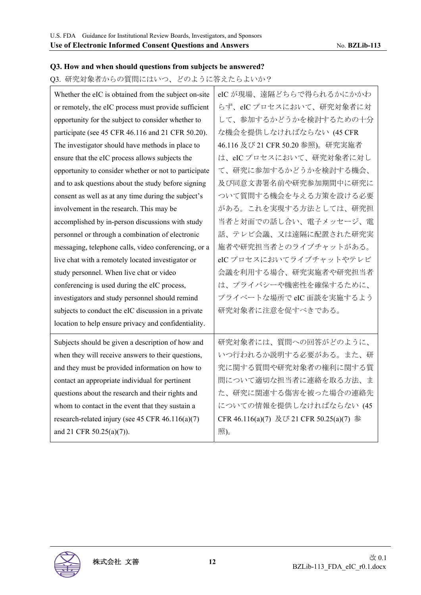### **Q3. How and when should questions from subjects be answered?**

Q3. 研究対象者からの質問にはいつ、どのように答えたらよいか?

| Whether the eIC is obtained from the subject on-site  | eIC が現場、遠隔どちらで得られるかにかかわ                  |
|-------------------------------------------------------|------------------------------------------|
| or remotely, the eIC process must provide sufficient  | らず、eICプロセスにおいて、研究対象者に対                   |
| opportunity for the subject to consider whether to    | して、参加するかどうかを検討するための十分                    |
| participate (see 45 CFR 46.116 and 21 CFR 50.20).     | な機会を提供しなければならない (45 CFR                  |
| The investigator should have methods in place to      | 46.116 及び 21 CFR 50.20 参照)。研究実施者         |
| ensure that the eIC process allows subjects the       | は、eICプロセスにおいて、研究対象者に対し                   |
| opportunity to consider whether or not to participate | て、研究に参加するかどうかを検討する機会、                    |
| and to ask questions about the study before signing   | 及び同意文書署名前や研究参加期間中に研究に                    |
| consent as well as at any time during the subject's   | ついて質問する機会を与える方策を設ける必要                    |
| involvement in the research. This may be              | がある。これを実現する方法としては、研究担                    |
| accomplished by in-person discussions with study      | 当者と対面での話し合い、電子メッセージ、電                    |
| personnel or through a combination of electronic      | 話、テレビ会議、又は遠隔に配置された研究実                    |
| messaging, telephone calls, video conferencing, or a  | 施者や研究担当者とのライブチャットがある。                    |
| live chat with a remotely located investigator or     | eICプロセスにおいてライブチャットやテレビ                   |
| study personnel. When live chat or video              | 会議を利用する場合、研究実施者や研究担当者                    |
| conferencing is used during the eIC process,          | は、プライバシーや機密性を確保するために、                    |
| investigators and study personnel should remind       | プライベートな場所で eIC 面談を実施するよう                 |
| subjects to conduct the eIC discussion in a private   | 研究対象者に注意を促すべきである。                        |
| location to help ensure privacy and confidentiality.  |                                          |
| Subjects should be given a description of how and     | 研究対象者には、質問への回答がどのように、                    |
| when they will receive answers to their questions,    | いつ行われるか説明する必要がある。また、研                    |
| and they must be provided information on how to       | 究に関する質問や研究対象者の権利に関する質                    |
| contact an appropriate individual for pertinent       | 問について適切な担当者に連絡を取る方法、ま                    |
| questions about the research and their rights and     | た、研究に関連する傷害を被った場合の連絡先                    |
| whom to contact in the event that they sustain a      | についての情報を提供しなければならない (45                  |
| research-related injury (see 45 CFR $46.116(a)(7)$    | CFR 46.116(a)(7) 及び 21 CFR 50.25(a)(7) 参 |
| and 21 CFR 50.25(a)(7)).                              | 照)。                                      |
|                                                       |                                          |

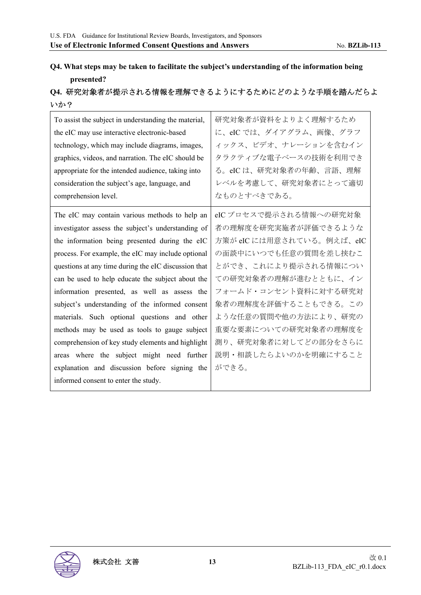## **Q4. What steps may be taken to facilitate the subject's understanding of the information being presented?**

## **Q4.** 研究対象者が提示される情報を理解できるようにするためにどのような手順を踏んだらよ いか?

| To assist the subject in understanding the material,<br>the eIC may use interactive electronic-based<br>technology, which may include diagrams, images,<br>graphics, videos, and narration. The eIC should be<br>appropriate for the intended audience, taking into<br>consideration the subject's age, language, and<br>comprehension level. | 研究対象者が資料をよりよく理解するため<br>に、eIC では、ダイアグラム、画像、グラフ<br>ィックス、ビデオ、ナレーションを含むイン<br>タラクティブな電子ベースの技術を利用でき<br>る。eICは、研究対象者の年齢、言語、理解<br>レベルを考慮して、研究対象者にとって適切<br>なものとすべきである。 |
|-----------------------------------------------------------------------------------------------------------------------------------------------------------------------------------------------------------------------------------------------------------------------------------------------------------------------------------------------|---------------------------------------------------------------------------------------------------------------------------------------------------------------|
| The eIC may contain various methods to help an                                                                                                                                                                                                                                                                                                | eIC プロセスで提示される情報への研究対象                                                                                                                                        |
| investigator assess the subject's understanding of                                                                                                                                                                                                                                                                                            | 者の理解度を研究実施者が評価できるような                                                                                                                                          |
| the information being presented during the eIC                                                                                                                                                                                                                                                                                                | 方策が eIC には用意されている。例えば、eIC                                                                                                                                     |
| process. For example, the eIC may include optional                                                                                                                                                                                                                                                                                            | の面談中にいつでも任意の質問を差し挟むこ                                                                                                                                          |
| questions at any time during the eIC discussion that                                                                                                                                                                                                                                                                                          | とができ、これにより提示される情報につい                                                                                                                                          |
| can be used to help educate the subject about the                                                                                                                                                                                                                                                                                             | ての研究対象者の理解が進むとともに、イン                                                                                                                                          |
| information presented, as well as assess the                                                                                                                                                                                                                                                                                                  | フォームド・コンセント資料に対する研究対                                                                                                                                          |
| subject's understanding of the informed consent                                                                                                                                                                                                                                                                                               | 象者の理解度を評価することもできる。この                                                                                                                                          |
| materials. Such optional questions and other                                                                                                                                                                                                                                                                                                  | ような任意の質問や他の方法により、研究の                                                                                                                                          |
| methods may be used as tools to gauge subject                                                                                                                                                                                                                                                                                                 | 重要な要素についての研究対象者の理解度を                                                                                                                                          |
| comprehension of key study elements and highlight                                                                                                                                                                                                                                                                                             | 測り、研究対象者に対してどの部分をさらに                                                                                                                                          |
| areas where the subject might need further                                                                                                                                                                                                                                                                                                    | 説明・相談したらよいのかを明確にすること                                                                                                                                          |
| explanation and discussion before signing the                                                                                                                                                                                                                                                                                                 | ができる。                                                                                                                                                         |
| informed consent to enter the study.                                                                                                                                                                                                                                                                                                          |                                                                                                                                                               |

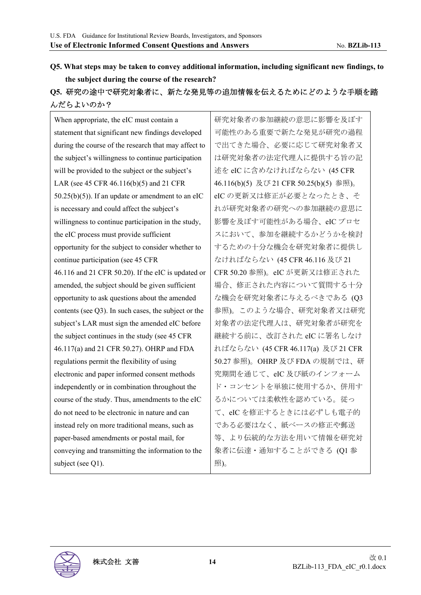## **Q5. What steps may be taken to convey additional information, including significant new findings, to the subject during the course of the research?**

## **Q5.** 研究の途中で研究対象者に、新たな発見等の追加情報を伝えるためにどのような手順を踏 んだらよいのか?

| When appropriate, the eIC must contain a             | 研究対象者の参加継続の意思に影響を及ぼす                    |
|------------------------------------------------------|-----------------------------------------|
| statement that significant new findings developed    | 可能性のある重要で新たな発見が研究の過程                    |
| during the course of the research that may affect to | で出てきた場合、必要に応じて研究対象者又                    |
| the subject's willingness to continue participation  | は研究対象者の法定代理人に提供する旨の記                    |
| will be provided to the subject or the subject's     | 述を eIC に含めなければならない (45 CFR              |
| LAR (see 45 CFR 46.116(b)(5) and 21 CFR              | 46.116(b)(5) 及び 21 CFR 50.25(b)(5) 参照)。 |
| $50.25(b)(5)$ ). If an update or amendment to an eIC | eICの更新又は修正が必要となったとき、そ                   |
| is necessary and could affect the subject's          | れが研究対象者の研究への参加継続の意思に                    |
| willingness to continue participation in the study,  | 影響を及ぼす可能性がある場合、eICプロセ                   |
| the eIC process must provide sufficient              | スにおいて、参加を継続するかどうかを検討                    |
| opportunity for the subject to consider whether to   | するための十分な機会を研究対象者に提供し                    |
| continue participation (see 45 CFR                   | なければならない (45 CFR 46.116 及び 21           |
| 46.116 and 21 CFR 50.20). If the eIC is updated or   | CFR 50.20 参照)。eIC が更新又は修正された            |
| amended, the subject should be given sufficient      | 場合、修正された内容について質問する十分                    |
| opportunity to ask questions about the amended       | な機会を研究対象者に与えるべきである (Q3                  |
| contents (see Q3). In such cases, the subject or the | 参照)。このような場合、研究対象者又は研究                   |
| subject's LAR must sign the amended eIC before       | 対象者の法定代理人は、研究対象者が研究を                    |
| the subject continues in the study (see 45 CFR       | 継続する前に、改訂された eIC に署名しなけ                 |
| 46.117(a) and 21 CFR 50.27). OHRP and FDA            | ればならない (45 CFR 46.117(a) 及び 21 CFR      |
| regulations permit the flexibility of using          | 50.27 参照)。OHRP 及び FDA の規制では、研           |
| electronic and paper informed consent methods        | 究期間を通じて、eIC及び紙のインフォーム                   |
| independently or in combination throughout the       | ド・コンセントを単独に使用するか、併用す                    |
| course of the study. Thus, amendments to the eIC     | るかについては柔軟性を認めている。従っ                     |
| do not need to be electronic in nature and can       | て、eICを修正するときには必ずしも電子的                   |
| instead rely on more traditional means, such as      | である必要はなく、紙ベースの修正や郵送                     |
| paper-based amendments or postal mail, for           | 等、より伝統的な方法を用いて情報を研究対                    |
| conveying and transmitting the information to the    | 象者に伝達·通知することができる (Q1 参                  |
| subject (see Q1).                                    | 照)。                                     |

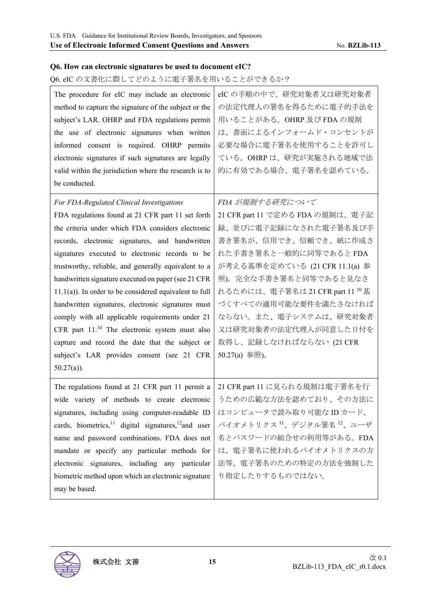#### **Q6. How can electronic signatures be used to document eIC?**

### Q6. eIC の文書化に際してどのように電子署名を用いることができるか?

| The procedure for eIC may include an electronic<br>method to capture the signature of the subject or the<br>subject's LAR. OHRP and FDA regulations permit<br>the use of electronic signatures when written<br>informed consent is required. OHRP permits<br>electronic signatures if such signatures are legally<br>valid within the jurisdiction where the research is to<br>be conducted. | eICの手順の中で、研究対象者又は研究対象者<br>の法定代理人の署名を得るために電子的手法を<br>用いることがある。OHRP及びFDAの規制<br>は、書面によるインフォームド・コンセントが<br>必要な場合に電子署名を使用することを許可し<br>ている。OHRPは、研究が実施される地域で法<br>的に有効である場合、電子署名を認めている。 |
|----------------------------------------------------------------------------------------------------------------------------------------------------------------------------------------------------------------------------------------------------------------------------------------------------------------------------------------------------------------------------------------------|-------------------------------------------------------------------------------------------------------------------------------------------------------------------------------|
| For FDA-Regulated Clinical Investigations                                                                                                                                                                                                                                                                                                                                                    | FDA が規制する研究について                                                                                                                                                               |
| FDA regulations found at 21 CFR part 11 set forth                                                                                                                                                                                                                                                                                                                                            | 21 CFR part 11 で定める FDA の規制は、電子記                                                                                                                                              |
| the criteria under which FDA considers electronic                                                                                                                                                                                                                                                                                                                                            | 録、並びに電子記録になされた電子署名及び手                                                                                                                                                         |
| records, electronic signatures, and handwritten                                                                                                                                                                                                                                                                                                                                              | 書き署名が、信用でき、信頼でき、紙に作成さ                                                                                                                                                         |
| signatures executed to electronic records to be                                                                                                                                                                                                                                                                                                                                              | れた手書き署名と一般的に同等であるとFDA                                                                                                                                                         |
| trustworthy, reliable, and generally equivalent to a                                                                                                                                                                                                                                                                                                                                         | が考える基準を定めている (21 CFR 11.1(a) 参                                                                                                                                                |
| handwritten signature executed on paper (see 21 CFR                                                                                                                                                                                                                                                                                                                                          | 照)。完全な手書き署名と同等であると見なさ                                                                                                                                                         |
| $11.1(a)$ ). In order to be considered equivalent to full                                                                                                                                                                                                                                                                                                                                    | れるためには、電子署名は 21 CFR part 11 <sup>10</sup> 基                                                                                                                                   |
| handwritten signatures, electronic signatures must                                                                                                                                                                                                                                                                                                                                           | づくすべての適用可能な要件を満たさなければ                                                                                                                                                         |
| comply with all applicable requirements under 21                                                                                                                                                                                                                                                                                                                                             | ならない。また、電子システムは、研究対象者                                                                                                                                                         |
| CFR part $11.^{10}$ The electronic system must also                                                                                                                                                                                                                                                                                                                                          | 又は研究対象者の法定代理人が同意した日付を                                                                                                                                                         |
| capture and record the date that the subject or                                                                                                                                                                                                                                                                                                                                              | 取得し、記録しなければならない (21 CFR                                                                                                                                                       |
| subject's LAR provides consent (see 21 CFR                                                                                                                                                                                                                                                                                                                                                   | 50.27(a) 参照)。                                                                                                                                                                 |
| $50.27(a)$ ).                                                                                                                                                                                                                                                                                                                                                                                |                                                                                                                                                                               |
| The regulations found at 21 CFR part 11 permit a                                                                                                                                                                                                                                                                                                                                             | 21 CFR part 11 に見られる規制は電子署名を行                                                                                                                                                 |
| wide variety of methods to create electronic                                                                                                                                                                                                                                                                                                                                                 | うための広範な方法を認めており、その方法に                                                                                                                                                         |
| signatures, including using computer-readable ID                                                                                                                                                                                                                                                                                                                                             | はコンピュータで読み取り可能なIDカード、                                                                                                                                                         |
| cards, biometrics, <sup>11</sup> digital signatures, <sup>12</sup> and user                                                                                                                                                                                                                                                                                                                  | バイオメトリクス 11、デジタル署名 12、ユーザ                                                                                                                                                     |
| name and password combinations. FDA does not                                                                                                                                                                                                                                                                                                                                                 | 名とパスワードの組合せの利用等がある。FDA                                                                                                                                                        |
| mandate or specify any particular methods for                                                                                                                                                                                                                                                                                                                                                | は、電子署名に使われるバイオメトリクスの方                                                                                                                                                         |
| electronic signatures, including any particular                                                                                                                                                                                                                                                                                                                                              | 法等、電子署名のための特定の方法を強制した                                                                                                                                                         |
| biometric method upon which an electronic signature                                                                                                                                                                                                                                                                                                                                          | り指定したりするものではない。                                                                                                                                                               |
| may be based.                                                                                                                                                                                                                                                                                                                                                                                |                                                                                                                                                                               |

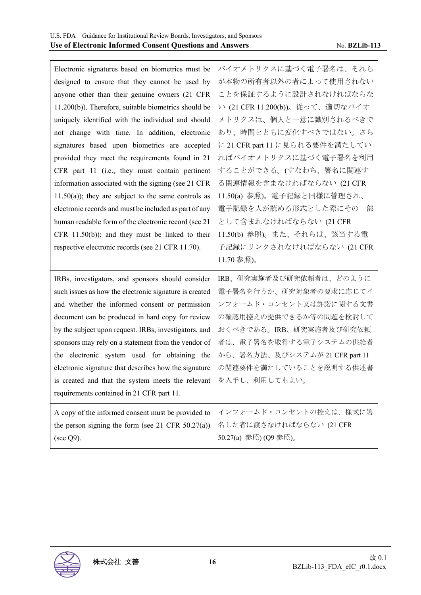| Electronic signatures based on biometrics must be      | バイオメトリクスに基づく電子署名は、それら           |
|--------------------------------------------------------|---------------------------------|
| designed to ensure that they cannot be used by         | が本物の所有者以外の者によって使用されない           |
| anyone other than their genuine owners (21 CFR         | ことを保証するように設計されなければならな           |
| 11.200(b)). Therefore, suitable biometrics should be   | い (21 CFR 11.200(b))。従って、適切なバイオ |
| uniquely identified with the individual and should     | メトリクスは、個人と一意に識別されるべきで           |
| not change with time. In addition, electronic          | あり、時間とともに変化すべきではない。さら           |
| signatures based upon biometrics are accepted          | に 21 CFR part 11 に見られる要件を満たしてい  |
| provided they meet the requirements found in 21        | ればバイオメトリクスに基づく電子署名を利用           |
| CFR part 11 (i.e., they must contain pertinent         | することができる。(すなわち、署名に関連す           |
| information associated with the signing (see 21 CFR    | る関連情報を含まなければならない (21 CFR        |
| $11.50(a)$ ; they are subject to the same controls as  | 11.50(a) 参照)。電子記録と同様に管理され、      |
| electronic records and must be included as part of any | 電子記録を人が読める形式とした際にその一部           |
| human readable form of the electronic record (see 21   | として含まれなければならない (21 CFR          |
| CFR $11.50(b)$ ; and they must be linked to their      | 11.50(b) 参照)。また、それらは、該当する電      |
| respective electronic records (see 21 CFR 11.70).      | 子記録にリンクされなければならない (21 CFR       |
|                                                        |                                 |
|                                                        | 11.70 参照)。                      |
| IRBs, investigators, and sponsors should consider      | IRB、研究実施者及び研究依頼者は、どのように         |
| such issues as how the electronic signature is created | 電子署名を行うか、研究対象者の要求に応じてイ          |
| and whether the informed consent or permission         | ンフォームド・コンセント又は許諾に関する文書          |
| document can be produced in hard copy for review       | の確認用控えの提供できるか等の問題を検討して          |
| by the subject upon request. IRBs, investigators, and  | おくべきである。IRB、研究実施者及び研究依頼         |
| sponsors may rely on a statement from the vendor of    | 者は、電子署名を取得する電子システムの供給者          |
| the electronic system used for obtaining the           | から、署名方法、及びシステムが 21 CFR part 11  |
| electronic signature that describes how the signature  | の関連要件を満たしていることを説明する供述書          |
| is created and that the system meets the relevant      | を入手し、利用してもよい。                   |
| requirements contained in 21 CFR part 11.              |                                 |
| A copy of the informed consent must be provided to     | インフォームド・コンセントの控えは、様式に署          |
| the person signing the form (see 21 CFR $50.27(a)$ )   | 名した者に渡さなければならない (21 CFR         |

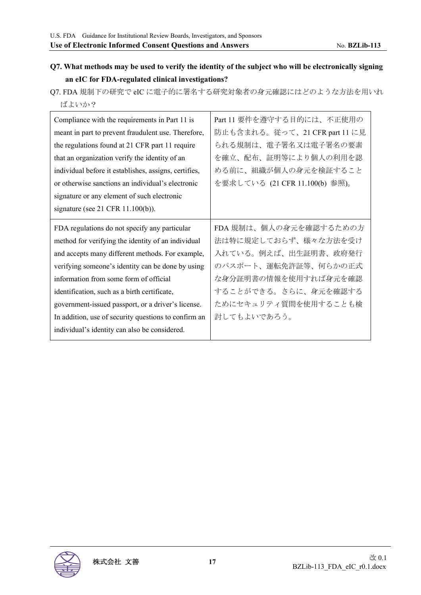## **Q7. What methods may be used to verify the identity of the subject who will be electronically signing an eIC for FDA-regulated clinical investigations?**

Q7. FDA 規制下の研究で eIC に電子的に署名する研究対象者の身元確認にはどのような方法を用いれ ばよいか?

| Compliance with the requirements in Part 11 is        | Part 11 要件を遵守する目的には、不正使用の      |
|-------------------------------------------------------|--------------------------------|
| meant in part to prevent fraudulent use. Therefore,   | 防止も含まれる。従って、21 CFR part 11 に見  |
| the regulations found at 21 CFR part 11 require       | られる規制は、電子署名又は電子署名の要素           |
| that an organization verify the identity of an        | を確立、配布、証明等により個人の利用を認           |
| individual before it establishes, assigns, certifies, | める前に、組織が個人の身元を検証すること           |
| or otherwise sanctions an individual's electronic     | を要求している (21 CFR 11.100(b) 参照)。 |
| signature or any element of such electronic           |                                |
| signature (see $21$ CFR $11.100(b)$ ).                |                                |
|                                                       | FDA規制は、個人の身元を確認するための方          |
| FDA regulations do not specify any particular         |                                |
| method for verifying the identity of an individual    | 法は特に規定しておらず、様々な方法を受け           |
| and accepts many different methods. For example,      | 入れている。例えば、出生証明書、政府発行           |
| verifying someone's identity can be done by using     | のパスポート、運転免許証等、何らかの正式           |
| information from some form of official                | な身分証明書の情報を使用すれば身元を確認           |
| identification, such as a birth certificate,          | することができる。さらに、身元を確認する           |
| government-issued passport, or a driver's license.    | ためにセキュリティ質問を使用することも検           |
| In addition, use of security questions to confirm an  | 討してもよいであろう。                    |
| individual's identity can also be considered.         |                                |

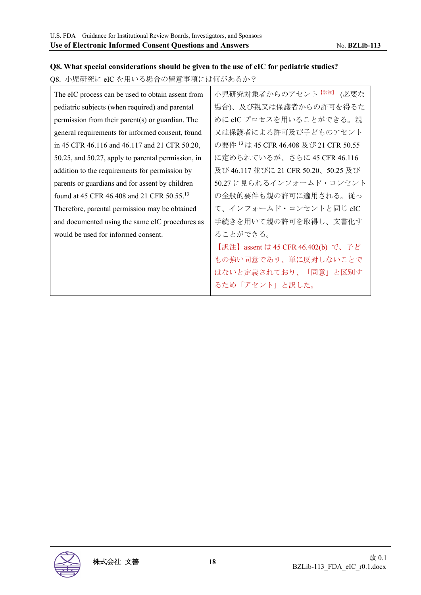#### **Q8. What special considerations should be given to the use of eIC for pediatric studies?**

Q8. 小児研究に eIC を用いる場合の留意事項には何があるか?

| The eIC process can be used to obtain assent from      | 小児研究対象者からのアセント <sup>【訳注】</sup> (必要な               |
|--------------------------------------------------------|---------------------------------------------------|
| pediatric subjects (when required) and parental        | 場合)、及び親又は保護者からの許可を得るた                             |
| permission from their parent(s) or guardian. The       | めに eIC プロセスを用いることができる。親                           |
| general requirements for informed consent, found       | 又は保護者による許可及び子どものアセント                              |
| in 45 CFR 46.116 and 46.117 and 21 CFR 50.20,          | の要件 <sup>13</sup> は 45 CFR 46.408 及び 21 CFR 50.55 |
| 50.25, and 50.27, apply to parental permission, in     | に定められているが、さらに 45 CFR 46.116                       |
| addition to the requirements for permission by         | 及び 46.117 並びに 21 CFR 50.20、50.25 及び               |
| parents or guardians and for assent by children        | 50.27 に見られるインフォームド・コンセント                          |
| found at 45 CFR 46.408 and 21 CFR 50.55. <sup>13</sup> | の全般的要件も親の許可に適用される。従っ                              |
| Therefore, parental permission may be obtained         | て、インフォームド・コンセントと同じeIC                             |
| and documented using the same eIC procedures as        | 手続きを用いて親の許可を取得し、文書化す                              |
| would be used for informed consent.                    | ることができる。                                          |
|                                                        | 【訳注】assent は 45 CFR 46.402(b) で、子ど                |
|                                                        | もの強い同意であり、単に反対しないことで                              |
|                                                        | はないと定義されており、「同意」と区別す                              |
|                                                        | るため「アセント」と訳した。                                    |

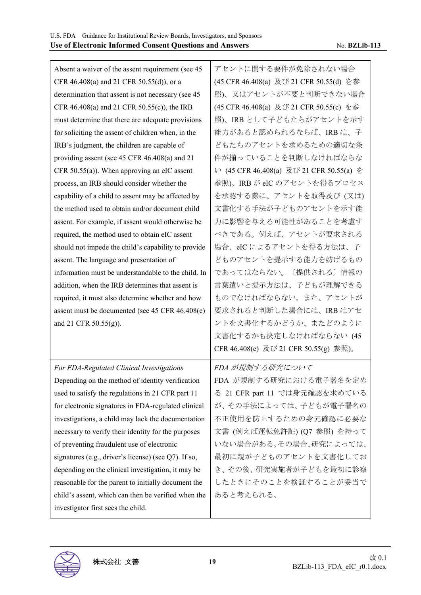Absent a waiver of the assent requirement (see 45 CFR 46.408(a) and 21 CFR 50.55(d)), or a determination that assent is not necessary (see 45 CFR 46.408(a) and 21 CFR 50.55(c)), the IRB must determine that there are adequate provisions for soliciting the assent of children when, in the IRB's judgment, the children are capable of providing assent (see 45 CFR 46.408(a) and 21 CFR 50.55(a)). When approving an eIC assent process, an IRB should consider whether the capability of a child to assent may be affected by the method used to obtain and/or document child assent. For example, if assent would otherwise be required, the method used to obtain eIC assent should not impede the child's capability to provide assent. The language and presentation of information must be understandable to the child. In addition, when the IRB determines that assent is required, it must also determine whether and how assent must be documented (see 45 CFR 46.408(e) and 21 CFR 50.55(g)). アセントに関する要件が免除されない場合 (45 CFR 46.408(a) 及び 21 CFR 50.55(d) を参 照)、又はアセントが不要と判断できない場合 (45 CFR 46.408(a) 及び 21 CFR 50.55(c) を参 照)、IRB として子どもたちがアセントを示す 能力があると認められるならば、IRB は、子 どもたちのアセントを求めるための適切な条 件が揃っていることを判断しなければならな い (45 CFR 46.408(a) 及び 21 CFR 50.55(a) を 参照)。IRB が eIC のアセントを得るプロセス を承認する際に、アセントを取得及び (又は) 文書化する手法が子どものアセントを示す能 力に影響を与える可能性があることを考慮す べきである。例えば、アセントが要求される 場合、eIC によるアセントを得る方法は、子 どものアセントを提示する能力を妨げるもの であってはならない。〔提供される〕情報の 言葉遣いと提示方法は、子どもが理解できる ものでなければならない。また、アセントが 要求されると判断した場合には、IRB はアセ ントを文書化するかどうか、またどのように 文書化するかも決定しなければならない (45 *For FDA-Regulated Clinical Investigations* 

CFR 46.408(e) 及び 21 CFR 50.55(g) 参照)。 Depending on the method of identity verification used to satisfy the regulations in 21 CFR part 11 for electronic signatures in FDA-regulated clinical investigations, a child may lack the documentation necessary to verify their identity for the purposes of preventing fraudulent use of electronic signatures (e.g., driver's license) (see Q7). If so, depending on the clinical investigation, it may be reasonable for the parent to initially document the child's assent, which can then be verified when the investigator first sees the child. *FDA* が規制する研究について FDA が規制する研究における電子署名を定め る 21 CFR part 11 では身元確認を求めている が、その手法によっては、子どもが電子署名の 不正使用を防止するための身元確認に必要な 文書 (例えば運転免許証) (Q7 参照) を持って いない場合がある。その場合、研究によっては、 最初に親が子どものアセントを文書化してお き、その後、研究実施者が子どもを最初に診察 したときにそのことを検証することが妥当で あると考えられる。

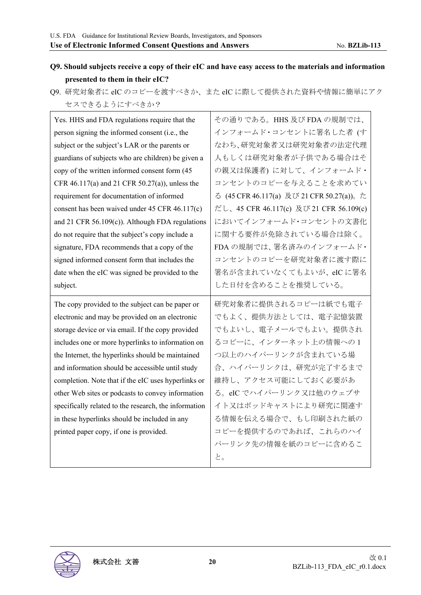## **Q9. Should subjects receive a copy of their eIC and have easy access to the materials and information presented to them in their eIC?**

Q9. 研究対象者に eIC のコピーを渡すべきか、また eIC に際して提供された資料や情報に簡単にアク セスできるようにすべきか?

| Yes. HHS and FDA regulations require that the         | その通りである。HHS及びFDAの規制では、                    |
|-------------------------------------------------------|-------------------------------------------|
| person signing the informed consent (i.e., the        | インフォームド・コンセントに署名した者(す                     |
| subject or the subject's LAR or the parents or        | なわち、研究対象者又は研究対象者の法定代理                     |
| guardians of subjects who are children) be given a    | 人もしくは研究対象者が子供である場合はそ                      |
| copy of the written informed consent form (45         | の親又は保護者)に対して、インフォームド·                     |
| CFR 46.117(a) and 21 CFR 50.27(a)), unless the        | コンセントのコピーを与えることを求めてい                      |
| requirement for documentation of informed             | る (45 CFR 46.117(a) 及び 21 CFR 50.27(a))。た |
| consent has been waived under 45 CFR 46.117(c)        | だし、45 CFR 46.117(c) 及び 21 CFR 56.109(c)   |
| and 21 CFR $56.109(c)$ ). Although FDA regulations    | においてインフォームド・コンセントの文書化                     |
| do not require that the subject's copy include a      | に関する要件が免除されている場合は除く。                      |
| signature, FDA recommends that a copy of the          | FDAの規制では、署名済みのインフォームド·                    |
| signed informed consent form that includes the        | コンセントのコピーを研究対象者に渡す際に                      |
| date when the eIC was signed be provided to the       | 署名が含まれていなくてもよいが、eIC に署名                   |
| subject.                                              | した日付を含めることを推奨している。                        |
|                                                       |                                           |
| The copy provided to the subject can be paper or      | 研究対象者に提供されるコピーは紙でも電子                      |
| electronic and may be provided on an electronic       | でもよく、提供方法としては、電子記憶装置                      |
| storage device or via email. If the copy provided     | でもよいし、電子メールでもよい。提供され                      |
| includes one or more hyperlinks to information on     | るコピーに、インターネット上の情報への1                      |
| the Internet, the hyperlinks should be maintained     | つ以上のハイパーリンクが含まれている場                       |
| and information should be accessible until study      | 合、ハイパーリンクは、研究が完了するまで                      |
| completion. Note that if the eIC uses hyperlinks or   | 維持し、アクセス可能にしておく必要があ                       |
| other Web sites or podcasts to convey information     | る。eIC でハイパーリンク又は他のウェブサ                    |
| specifically related to the research, the information | イト又はポッドキャストにより研究に関連す                      |
| in these hyperlinks should be included in any         | る情報を伝える場合で、もし印刷された紙の                      |
| printed paper copy, if one is provided.               | コピーを提供するのであれば、これらのハイ                      |
|                                                       | パーリンク先の情報を紙のコピーに含めるこ                      |

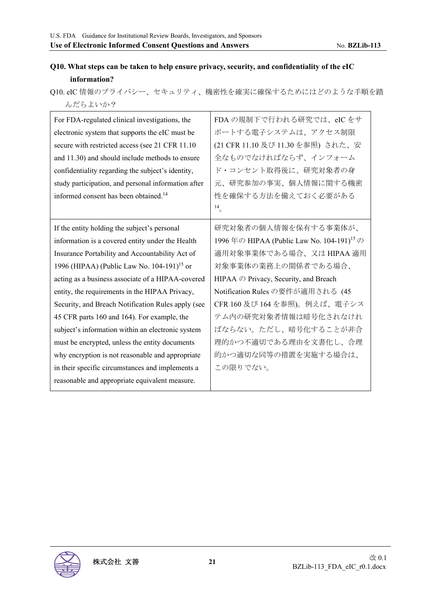## **Q10. What steps can be taken to help ensure privacy, security, and confidentiality of the eIC information?**

Q10. eIC 情報のプライバシー、セキュリティ、機密性を確実に確保するためにはどのような手順を踏 んだらよいか?

| For FDA-regulated clinical investigations, the<br>electronic system that supports the eIC must be<br>secure with restricted access (see 21 CFR 11.10)<br>and 11.30) and should include methods to ensure<br>confidentiality regarding the subject's identity,<br>study participation, and personal information after<br>informed consent has been obtained. <sup>14</sup>                                                                                                                                                                                                                                                                                                                  | FDAの規制下で行われる研究では、eICをサ<br>ポートする電子システムは、アクセス制限<br>(21 CFR 11.10 及び 11.30 を参照) された、安<br>全なものでなければならず、インフォーム<br>ド・コンセント取得後に、研究対象者の身<br>元、研究参加の事実、個人情報に関する機密<br>性を確保する方法を備えておく必要がある<br>14                                                                                                                                                                     |
|--------------------------------------------------------------------------------------------------------------------------------------------------------------------------------------------------------------------------------------------------------------------------------------------------------------------------------------------------------------------------------------------------------------------------------------------------------------------------------------------------------------------------------------------------------------------------------------------------------------------------------------------------------------------------------------------|-----------------------------------------------------------------------------------------------------------------------------------------------------------------------------------------------------------------------------------------------------------------------------------------------------------------------------------------------------------|
| If the entity holding the subject's personal<br>information is a covered entity under the Health<br>Insurance Portability and Accountability Act of<br>1996 (HIPAA) (Public Law No. 104-191) <sup>15</sup> or<br>acting as a business associate of a HIPAA-covered<br>entity, the requirements in the HIPAA Privacy,<br>Security, and Breach Notification Rules apply (see<br>45 CFR parts 160 and 164). For example, the<br>subject's information within an electronic system<br>must be encrypted, unless the entity documents<br>why encryption is not reasonable and appropriate<br>in their specific circumstances and implements a<br>reasonable and appropriate equivalent measure. | 研究対象者の個人情報を保有する事業体が、<br>1996年の HIPAA (Public Law No. 104-191) <sup>15</sup> の<br>適用対象事業体である場合、又は HIPAA 適用<br>対象事業体の業務上の関係者である場合、<br>HIPAA の Privacy, Security, and Breach<br>Notification Rules の要件が適用される (45<br>CFR 160 及び 164 を参照)。例えば、電子シス<br>テム内の研究対象者情報は暗号化されなけれ<br>ばならない。ただし、暗号化することが非合<br>理的かつ不適切である理由を文書化し、合理<br>的かつ適切な同等の措置を実施する場合は、<br>この限りでない。 |

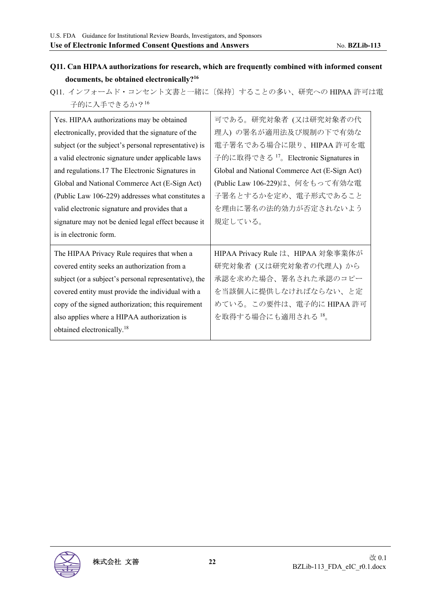## **Q11. Can HIPAA authorizations for research, which are frequently combined with informed consent documents, be obtained electronically?16**

Q11. インフォームド・コンセント文書と一緒に〔保持〕することの多い、研究への HIPAA 許可は電 子的に入手できるか?16

| Yes. HIPAA authorizations may be obtained             | 可である。研究対象者 (又は研究対象者の代                            |
|-------------------------------------------------------|--------------------------------------------------|
| electronically, provided that the signature of the    | 理人) の署名が適用法及び規制の下で有効な                            |
| subject (or the subject's personal representative) is | 電子署名である場合に限り、HIPAA 許可を電                          |
| a valid electronic signature under applicable laws    | 子的に取得できる <sup>17</sup> 。Electronic Signatures in |
| and regulations.17 The Electronic Signatures in       | Global and National Commerce Act (E-Sign Act)    |
| Global and National Commerce Act (E-Sign Act)         | (Public Law 106-229)は、何をもって有効な電                  |
| (Public Law 106-229) addresses what constitutes a     | 子署名とするかを定め、電子形式であること                             |
| valid electronic signature and provides that a        | を理由に署名の法的効力が否定されないよう                             |
| signature may not be denied legal effect because it   | 規定している。                                          |
|                                                       |                                                  |
| is in electronic form.                                |                                                  |
| The HIPAA Privacy Rule requires that when a           | HIPAA Privacy Rule は、HIPAA 対象事業体が                |
| covered entity seeks an authorization from a          | 研究対象者 (又は研究対象者の代理人) から                           |
| subject (or a subject's personal representative), the | 承認を求めた場合、署名された承認のコピー                             |
| covered entity must provide the individual with a     | を当該個人に提供しなければならない、と定                             |
| copy of the signed authorization; this requirement    | めている。この要件は、電子的に HIPAA 許可                         |
| also applies where a HIPAA authorization is           | を取得する場合にも適用される 18。                               |
| obtained electronically. <sup>18</sup>                |                                                  |

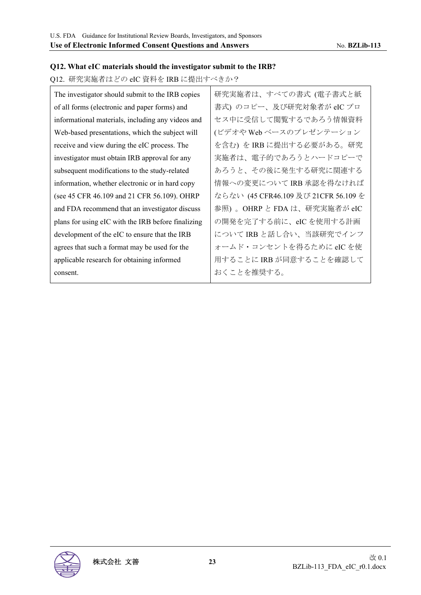#### **Q12. What eIC materials should the investigator submit to the IRB?**

### Q12. 研究実施者はどの eIC 資料を IRB に提出すべきか?

| The investigator should submit to the IRB copies   | 研究実施者は、すべての書式 (電子書式と紙                |
|----------------------------------------------------|--------------------------------------|
| of all forms (electronic and paper forms) and      | 書式) のコピー、及び研究対象者が eIC プロ             |
| informational materials, including any videos and  | セス中に受信して閲覧するであろう情報資料                 |
| Web-based presentations, which the subject will    | (ビデオや Web ベースのプレゼンテーション              |
| receive and view during the eIC process. The       | を含む)を IRB に提出する必要がある。研究              |
| investigator must obtain IRB approval for any      | 実施者は、電子的であろうとハードコピーで                 |
| subsequent modifications to the study-related      | あろうと、その後に発生する研究に関連する                 |
| information, whether electronic or in hard copy    | 情報への変更について IRB 承認を得なければ              |
| (see 45 CFR 46.109 and 21 CFR 56.109). OHRP        | ならない (45 CFR46.109 及び 21CFR 56.109 を |
| and FDA recommend that an investigator discuss     | 参照)。OHRP と FDA は、研究実施者が eIC          |
| plans for using eIC with the IRB before finalizing | の開発を完了する前に、eIC を使用する計画               |
| development of the eIC to ensure that the IRB      | について IRB と話し合い、当該研究でインフ              |
| agrees that such a format may be used for the      | ォームド・コンセントを得るために eIC を使              |
| applicable research for obtaining informed         | 用することに IRB が同意することを確認して              |
| consent.                                           | おくことを推奨する。                           |

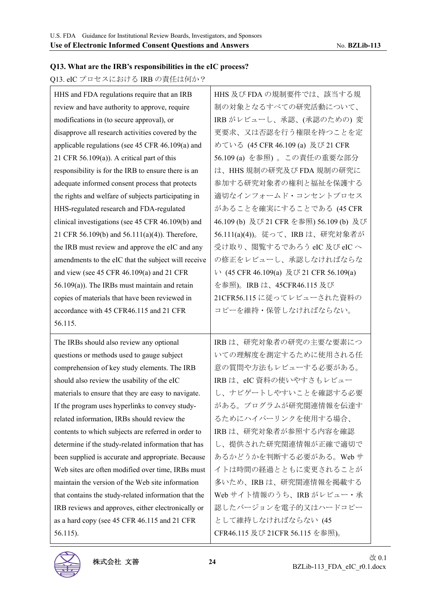### **Q13. What are the IRB's responsibilities in the eIC process?**

Q13. eIC プロセスにおける IRB の責任は何か?

| HHS and FDA regulations require that an IRB          | HHS 及び FDA の規制要件では、該当する規                |
|------------------------------------------------------|-----------------------------------------|
| review and have authority to approve, require        | 制の対象となるすべての研究活動について、                    |
| modifications in (to secure approval), or            | IRB がレビューし、承認、(承認のための)変                 |
| disapprove all research activities covered by the    | 更要求、又は否認を行う権限を持つことを定                    |
| applicable regulations (see 45 CFR 46.109(a) and     | めている (45 CFR 46.109 (a) 及び 21 CFR       |
| 21 CFR 56.109(a)). A critical part of this           | 56.109 (a) を参照)。この責任の重要な部分              |
| responsibility is for the IRB to ensure there is an  | は、HHS規制の研究及び FDA 規制の研究に                 |
| adequate informed consent process that protects      | 参加する研究対象者の権利と福祉を保護する                    |
| the rights and welfare of subjects participating in  | 適切なインフォームド・コンセントプロセス                    |
| HHS-regulated research and FDA-regulated             | があることを確実にすることである (45 CFR                |
| clinical investigations (see 45 CFR 46.109(b) and    | 46.109 (b) 及び 21 CFR を参照) 56.109 (b) 及び |
| 21 CFR 56.109(b) and 56.111(a)(4)). Therefore,       | 56.111(a)(4))。従って、IRB は、研究対象者が          |
| the IRB must review and approve the eIC and any      | 受け取り、閲覧するであろう eIC 及び eIC へ              |
| amendments to the eIC that the subject will receive  | の修正をレビューし、承認しなければならな                    |
| and view (see 45 CFR 46.109(a) and 21 CFR            | い (45 CFR 46.109(a) 及び 21 CFR 56.109(a) |
| $56.109(a)$ ). The IRBs must maintain and retain     | を参照)。IRB は、45CFR46.115 及び               |
| copies of materials that have been reviewed in       | 21CFR56.115 に従ってレビューされた資料の              |
| accordance with 45 CFR46.115 and 21 CFR              | コピーを維持・保管しなければならない。                     |
|                                                      |                                         |
| 56.115.                                              |                                         |
| The IRBs should also review any optional             | IRB は、研究対象者の研究の主要な要素につ                  |
| questions or methods used to gauge subject           | いての理解度を測定するために使用される任                    |
| comprehension of key study elements. The IRB         | 意の質問や方法もレビューする必要がある。                    |
| should also review the usability of the eIC          | IRB は、eIC 資料の使いやすさもレビュー                 |
| materials to ensure that they are easy to navigate.  | し、ナビゲートしやすいことを確認する必要                    |
| If the program uses hyperlinks to convey study-      | がある。プログラムが研究関連情報を伝達す                    |
| related information, IRBs should review the          | るためにハイパーリンクを使用する場合、                     |
| contents to which subjects are referred in order to  | IRB は、研究対象者が参照する内容を確認                   |
| determine if the study-related information that has  | し、提供された研究関連情報が正確で適切で                    |
| been supplied is accurate and appropriate. Because   | あるかどうかを判断する必要がある。Webサ                   |
| Web sites are often modified over time, IRBs must    | イトは時間の経過とともに変更されることが                    |
| maintain the version of the Web site information     | 多いため、IRBは、研究関連情報を掲載する                   |
| that contains the study-related information that the | Web サイト情報のうち、IRB がレビュー・承                |
| IRB reviews and approves, either electronically or   | 認したバージョンを電子的又はハードコピー                    |
| as a hard copy (see 45 CFR 46.115 and 21 CFR         | として維持しなければならない(45                       |

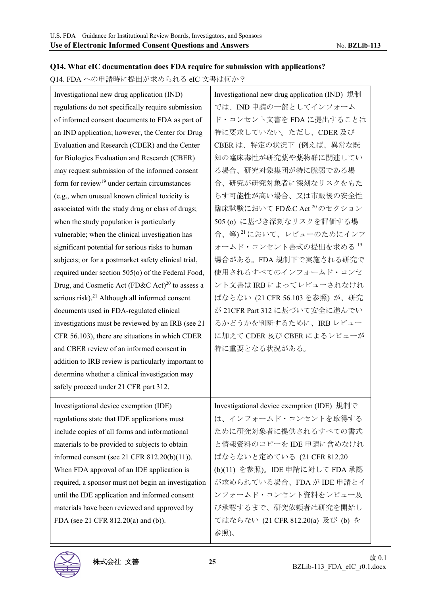#### **Q14. What eIC documentation does FDA require for submission with applications?**

Q14. FDA への申請時に提出が求められる eIC 文書は何か?

| Investigational new drug application (IND)                  | Investigational new drug application (IND) 規制 |
|-------------------------------------------------------------|-----------------------------------------------|
| regulations do not specifically require submission          | では、IND 申請の一部としてインフォーム                         |
| of informed consent documents to FDA as part of             | ド・コンセント文書を FDA に提出することは                       |
| an IND application; however, the Center for Drug            | 特に要求していない。ただし、CDER及び                          |
| Evaluation and Research (CDER) and the Center               | CBER は、特定の状況下(例えば、異常な既                        |
| for Biologics Evaluation and Research (CBER)                | 知の臨床毒性が研究薬や薬物群に関連してい                          |
| may request submission of the informed consent              | る場合、研究対象集団が特に脆弱である場                           |
| form for review <sup>19</sup> under certain circumstances   | 合、研究が研究対象者に深刻なリスクをもた                          |
| (e.g., when unusual known clinical toxicity is              | らす可能性が高い場合、又は市販後の安全性                          |
| associated with the study drug or class of drugs;           | 臨床試験において FD&C Act <sup>20</sup> のセクション        |
| when the study population is particularly                   | 505 (o) に基づき深刻なリスクを評価する場                      |
| vulnerable; when the clinical investigation has             | 合、等) <sup>21</sup> において、レビューのためにインフ           |
| significant potential for serious risks to human            | オームド・コンセント書式の提出を求める <sup>19</sup>             |
| subjects; or for a postmarket safety clinical trial,        | 場合がある。FDA 規制下で実施される研究で                        |
| required under section 505(o) of the Federal Food,          | 使用されるすべてのインフォームド・コンセ                          |
| Drug, and Cosmetic Act (FD&C Act) <sup>20</sup> to assess a | ント文書は IRB によってレビューされなけれ                       |
| serious risk). <sup>21</sup> Although all informed consent  | ばならない (21 CFR 56.103 を参照) が、研究                |
| documents used in FDA-regulated clinical                    | が 21CFR Part 312 に基づいて安全に進んでい                 |
| investigations must be reviewed by an IRB (see 21)          | るかどうかを判断するために、IRB レビュー                        |
| CFR 56.103), there are situations in which CDER             | に加えて CDER 及び CBER によるレビューが                    |
| and CBER review of an informed consent in                   | 特に重要となる状況がある。                                 |
| addition to IRB review is particularly important to         |                                               |
| determine whether a clinical investigation may              |                                               |
| safely proceed under 21 CFR part 312.                       |                                               |
| Investigational device exemption (IDE)                      | Investigational device exemption (IDE) 規制で    |
| regulations state that IDE applications must                | は、インフォームド・コンセントを取得する                          |
| include copies of all forms and informational               | ために研究対象者に提供されるすべての書式                          |
| materials to be provided to subjects to obtain              | と情報資料のコピーを IDE 申請に含めなけれ                       |
| informed consent (see 21 CFR $812.20(b)(11)$ ).             | ばならないと定めている (21 CFR 812.20                    |
| When FDA approval of an IDE application is                  | (b)(11) を参照)。IDE 申請に対して FDA 承認                |
| required, a sponsor must not begin an investigation         | が求められている場合、FDA が IDE 申請とイ                     |
| until the IDE application and informed consent              | ンフォームド・コンセント資料をレビュー及                          |
| materials have been reviewed and approved by                | び承認するまで、研究依頼者は研究を開始し                          |
| FDA (see 21 CFR 812.20(a) and (b)).                         | てはならない (21 CFR 812.20(a) 及び (b) を             |
|                                                             | 参照)。                                          |

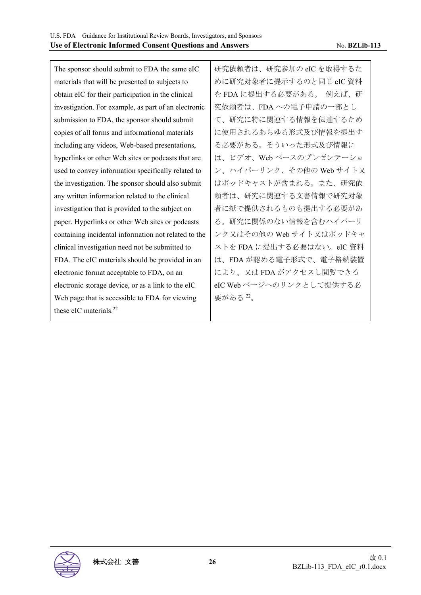The sponsor should submit to FDA the same eIC materials that will be presented to subjects to obtain eIC for their participation in the clinical investigation. For example, as part of an electronic submission to FDA, the sponsor should submit copies of all forms and informational materials including any videos, Web-based presentations, hyperlinks or other Web sites or podcasts that are used to convey information specifically related to the investigation. The sponsor should also submit any written information related to the clinical investigation that is provided to the subject on paper. Hyperlinks or other Web sites or podcasts containing incidental information not related to the clinical investigation need not be submitted to FDA. The eIC materials should be provided in an electronic format acceptable to FDA, on an electronic storage device, or as a link to the eIC Web page that is accessible to FDA for viewing these eIC materials.<sup>22</sup> 研究依頼者は、研究参加の eIC を取得するた めに研究対象者に提示するのと同じ eIC 資料 を FDA に提出する必要がある。 例えば、研 究依頼者は、FDA への電子申請の一部とし て、研究に特に関連する情報を伝達するため に使用されるあらゆる形式及び情報を提出す る必要がある。そういった形式及び情報に は、ビデオ、Web ベースのプレゼンテーショ ン、ハイパーリンク、その他の Web サイト又 はポッドキャストが含まれる。また、研究依 頼者は、研究に関連する文書情報で研究対象 者に紙で提供されるものも提出する必要があ る。研究に関係のない情報を含むハイパーリ ンク又はその他の Web サイト又はポッドキャ ストを FDA に提出する必要はない。eIC 資料 は、FDA が認める電子形式で、電子格納装置 により、又は FDA がアクセスし閲覧できる eIC Web ページへのリンクとして提供する必 要がある <sup>22</sup>。

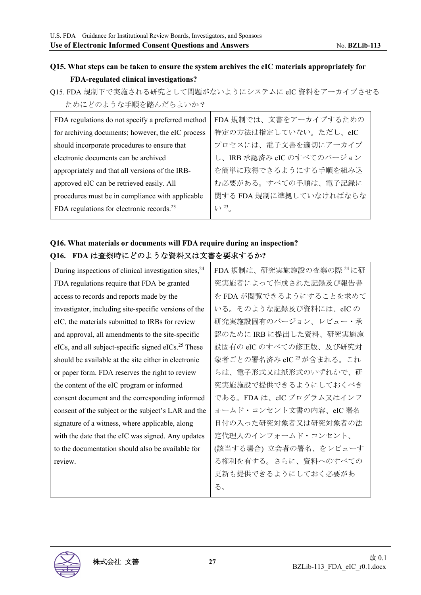## **Q15. What steps can be taken to ensure the system archives the eIC materials appropriately for FDA-regulated clinical investigations?**

Q15. FDA 規制下で実施される研究として問題がないようにシステムに eIC 資料をアーカイブさせる ためにどのような手順を踏んだらよいか?

| FDA regulations do not specify a preferred method     | FDA規制では、文書をアーカイブするための     |
|-------------------------------------------------------|---------------------------|
| for archiving documents; however, the eIC process     | 特定の方法は指定していない。ただし、eIC     |
| should incorporate procedures to ensure that          | プロセスには、電子文書を適切にアーカイブ      |
| electronic documents can be archived                  | し、IRB 承認済み eIC のすべてのバージョン |
| appropriately and that all versions of the IRB-       | を簡単に取得できるようにする手順を組み込      |
| approved eIC can be retrieved easily. All             | む必要がある。すべての手順は、電子記録に      |
| procedures must be in compliance with applicable      | 関する FDA 規制に準拠していなければならな   |
| FDA regulations for electronic records. <sup>23</sup> | $V^2$                     |
|                                                       |                           |

## **Q16. What materials or documents will FDA require during an inspection? Q16. FDA** は査察時にどのような資料又は文書を要求するか**?**

| During inspections of clinical investigation sites, $24$            | FDA 規制は、研究実施施設の査察の際 <sup>24</sup> に研 |
|---------------------------------------------------------------------|--------------------------------------|
| FDA regulations require that FDA be granted                         | 究実施者によって作成された記録及び報告書                 |
| access to records and reports made by the                           | を FDA が閲覧できるようにすることを求めて              |
| investigator, including site-specific versions of the               | いる。そのような記録及び資料には、eICの                |
| eIC, the materials submitted to IRBs for review                     | 研究実施設固有のバージョン、レビュー・承                 |
| and approval, all amendments to the site-specific                   | 認のために IRB に提出した資料、研究実施施              |
| $eICs$ , and all subject-specific signed $eICs$ <sup>25</sup> These | 設固有の eIC のすべての修正版、及び研究対              |
| should be available at the site either in electronic                | 象者ごとの署名済み eIC <sup>25</sup> が含まれる。これ |
| or paper form. FDA reserves the right to review                     | らは、電子形式又は紙形式のいずれかで、研                 |
| the content of the eIC program or informed                          | 究実施施設で提供できるようにしておくべき                 |
| consent document and the corresponding informed                     | である。FDA は、eIC プログラム又はインフ             |
| consent of the subject or the subject's LAR and the                 | ォームド・コンセント文書の内容、eIC 署名               |
| signature of a witness, where applicable, along                     | 日付の入った研究対象者又は研究対象者の法                 |
| with the date that the eIC was signed. Any updates                  | 定代理人のインフォームド・コンセント、                  |
| to the documentation should also be available for                   | (該当する場合) 立会者の署名、をレビューす               |
| review.                                                             | る権利を有する。さらに、資料へのすべての                 |
|                                                                     | 更新も提供できるようにしておく必要があ                  |
|                                                                     | る。                                   |

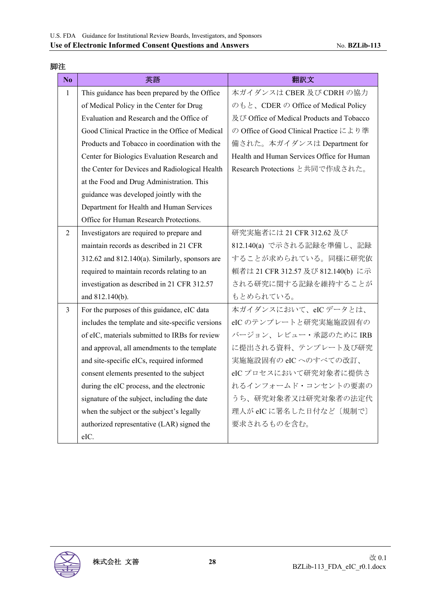| N <sub>0</sub> | 英語                                                  | 翻訳文                                        |
|----------------|-----------------------------------------------------|--------------------------------------------|
| $\mathbf{1}$   | This guidance has been prepared by the Office       | 本ガイダンスは CBER 及び CDRH の協力                   |
|                | of Medical Policy in the Center for Drug            | のもと、CDER の Office of Medical Policy        |
|                | Evaluation and Research and the Office of           | 及び Office of Medical Products and Tobacco  |
|                | Good Clinical Practice in the Office of Medical     | の Office of Good Clinical Practice により準    |
|                | Products and Tobacco in coordination with the       | 備された。本ガイダンスは Department for                |
|                | Center for Biologics Evaluation Research and        | Health and Human Services Office for Human |
|                | the Center for Devices and Radiological Health      | Research Protections と共同で作成された。            |
|                | at the Food and Drug Administration. This           |                                            |
|                | guidance was developed jointly with the             |                                            |
|                | Department for Health and Human Services            |                                            |
|                | Office for Human Research Protections.              |                                            |
| $\overline{2}$ | Investigators are required to prepare and           | 研究実施者には 21 CFR 312.62 及び                   |
|                | maintain records as described in 21 CFR             | 812.140(a) で示される記録を準備し、記録                  |
|                | $312.62$ and $812.140(a)$ . Similarly, sponsors are | することが求められている。同様に研究依                        |
|                | required to maintain records relating to an         | 頼者は 21 CFR 312.57 及び 812.140(b) に示         |
|                | investigation as described in 21 CFR 312.57         | される研究に関する記録を維持することが                        |
|                | and 812.140(b).                                     | もとめられている。                                  |
| $\overline{3}$ | For the purposes of this guidance, eIC data         | 本ガイダンスにおいて、eICデータとは、                       |
|                | includes the template and site-specific versions    | eIC のテンプレートと研究実施施設固有の                      |
|                | of eIC, materials submitted to IRBs for review      | バージョン、レビュー・承認のために IRB                      |
|                | and approval, all amendments to the template        | に提出される資料、テンプレート及び研究                        |
|                | and site-specific eICs, required informed           | 実施施設固有の eIC へのすべての改訂、                      |
|                | consent elements presented to the subject           | eICプロセスにおいて研究対象者に提供さ                       |
|                | during the eIC process, and the electronic          | れるインフォームド・コンセントの要素の                        |
|                | signature of the subject, including the date        | うち、研究対象者又は研究対象者の法定代                        |
|                | when the subject or the subject's legally           | 理人が eIC に署名した日付など〔規制で〕                     |
|                | authorized representative (LAR) signed the          | 要求されるものを含む。                                |
|                | eIC.                                                |                                            |

#### 脚注

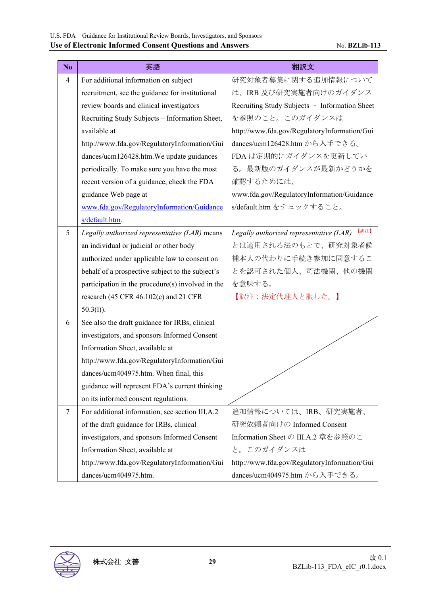| N <sub>o</sub> | 英語                                                | 翻訳文                                             |
|----------------|---------------------------------------------------|-------------------------------------------------|
| $\overline{4}$ | For additional information on subject             | 研究対象者募集に関する追加情報について                             |
|                | recruitment, see the guidance for institutional   | は、IRB及び研究実施者向けのガイダンス                            |
|                | review boards and clinical investigators          | Recruiting Study Subjects - Information Sheet   |
|                | Recruiting Study Subjects - Information Sheet,    | を参照のこと。このガイダンスは                                 |
|                | available at                                      | http://www.fda.gov/RegulatoryInformation/Gui    |
|                | http://www.fda.gov/RegulatoryInformation/Gui      | dances/ucm126428.htm から入手できる。                   |
|                | dances/ucm126428.htm. We update guidances         | FDA は定期的にガイダンスを更新してい                            |
|                | periodically. To make sure you have the most      | る。最新版のガイダンスが最新かどうかを                             |
|                | recent version of a guidance, check the FDA       | 確認するためには、                                       |
|                | guidance Web page at                              | www.fda.gov/RegulatoryInformation/Guidance      |
|                | www.fda.gov/RegulatoryInformation/Guidance        | s/default.htm をチェックすること。                        |
|                | s/default.htm.                                    |                                                 |
| 5              | Legally authorized representative (LAR) means     | 【訳注】<br>Legally authorized representative (LAR) |
|                | an individual or judicial or other body           | とは適用される法のもとで、研究対象者候                             |
|                | authorized under applicable law to consent on     | 補本人の代わりに手続き参加に同意するこ                             |
|                | behalf of a prospective subject to the subject's  | とを認可された個人、司法機関、他の機関                             |
|                | participation in the procedure(s) involved in the | を意味する。                                          |
|                | research (45 CFR 46.102(c) and 21 CFR             | 【訳注:法定代理人と訳した。】                                 |
|                | $50.3(l)$ ).                                      |                                                 |
| 6              | See also the draft guidance for IRBs, clinical    |                                                 |
|                | investigators, and sponsors Informed Consent      |                                                 |
|                | Information Sheet, available at                   |                                                 |
|                | http://www.fda.gov/RegulatoryInformation/Gui      |                                                 |
|                | dances/ucm404975.htm. When final, this            |                                                 |
|                | guidance will represent FDA's current thinking    |                                                 |
|                | on its informed consent regulations.              |                                                 |
| $\tau$         | For additional information, see section III.A.2   | 追加情報については、IRB、研究実施者、                            |
|                | of the draft guidance for IRBs, clinical          | 研究依頼者向けの Informed Consent                       |
|                | investigators, and sponsors Informed Consent      | Information Sheet の III.A.2 章を参照のこ              |
|                | Information Sheet, available at                   | と。このガイダンスは                                      |
|                | http://www.fda.gov/RegulatoryInformation/Gui      | http://www.fda.gov/RegulatoryInformation/Gui    |
|                | dances/ucm404975.htm.                             | dances/ucm404975.htm から入手できる。                   |

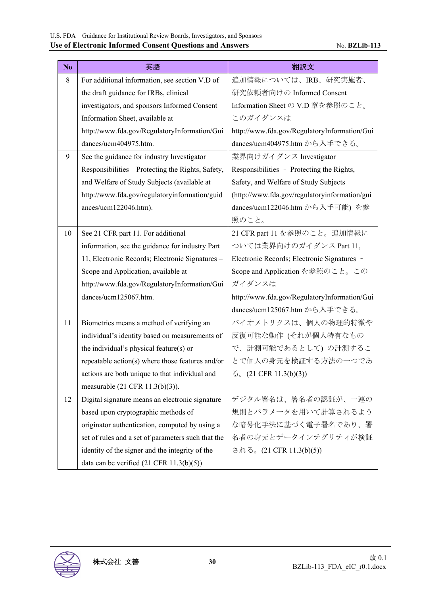| No | 英語                                                  | 翻訳文                                           |
|----|-----------------------------------------------------|-----------------------------------------------|
| 8  | For additional information, see section V.D of      | 追加情報については、IRB、研究実施者、                          |
|    | the draft guidance for IRBs, clinical               | 研究依頼者向けの Informed Consent                     |
|    | investigators, and sponsors Informed Consent        | Information Sheet の V.D 章を参照のこと。              |
|    | Information Sheet, available at                     | このガイダンスは                                      |
|    | http://www.fda.gov/RegulatoryInformation/Gui        | http://www.fda.gov/RegulatoryInformation/Gui  |
|    | dances/ucm404975.htm.                               | dances/ucm404975.htm から入手できる。                 |
| 9  | See the guidance for industry Investigator          | 業界向けガイダンス Investigator                        |
|    | Responsibilities - Protecting the Rights, Safety,   | Responsibilities - Protecting the Rights,     |
|    | and Welfare of Study Subjects (available at         | Safety, and Welfare of Study Subjects         |
|    | http://www.fda.gov/regulatoryinformation/guid       | (http://www.fda.gov/regulatoryinformation/gui |
|    | ances/ucm122046.htm).                               | dances/ucm122046.htm から入手可能) を参               |
|    |                                                     | 照のこと。                                         |
| 10 | See 21 CFR part 11. For additional                  | 21 CFR part 11 を参照のこと。追加情報に                   |
|    | information, see the guidance for industry Part     | ついては業界向けのガイダンス Part 11,                       |
|    | 11, Electronic Records; Electronic Signatures -     | Electronic Records; Electronic Signatures -   |
|    | Scope and Application, available at                 | Scope and Application を参照のこと。この               |
|    | http://www.fda.gov/RegulatoryInformation/Gui        | ガイダンスは                                        |
|    | dances/ucm125067.htm.                               | http://www.fda.gov/RegulatoryInformation/Gui  |
|    |                                                     | dances/ucm125067.htm から入手できる。                 |
| 11 | Biometrics means a method of verifying an           | バイオメトリクスは、個人の物理的特徴や                           |
|    | individual's identity based on measurements of      | 反復可能な動作 (それが個人特有なもの                           |
|    | the individual's physical feature(s) or             | で、計測可能であるとして)の計測するこ                           |
|    | repeatable action(s) where those features and/or    | とで個人の身元を検証する方法の一つであ                           |
|    | actions are both unique to that individual and      | $\zeta$ (21 CFR 11.3(b)(3))                   |
|    | measurable $(21 \text{ CFR } 11.3(b)(3))$ .         |                                               |
| 12 | Digital signature means an electronic signature     | デジタル署名は、署名者の認証が、一連の                           |
|    | based upon cryptographic methods of                 | 規則とパラメータを用いて計算されるよう                           |
|    | originator authentication, computed by using a      | な暗号化手法に基づく電子署名であり、署                           |
|    | set of rules and a set of parameters such that the  | 名者の身元とデータインテグリティが検証                           |
|    | identity of the signer and the integrity of the     | される。(21 CFR 11.3(b)(5))                       |
|    | data can be verified $(21 \text{ CFR } 11.3(b)(5))$ |                                               |

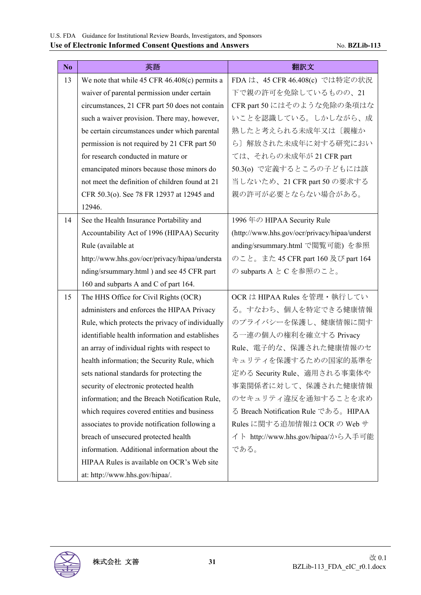| No | 英語                                                | 翻訳文                                           |
|----|---------------------------------------------------|-----------------------------------------------|
| 13 | We note that while $45$ CFR $46.408(c)$ permits a | FDA は、45 CFR 46.408(c) では特定の状況                |
|    | waiver of parental permission under certain       | 下で親の許可を免除しているものの、21                           |
|    | circumstances, 21 CFR part 50 does not contain    | CFR part 50 にはそのような免除の条項はな                    |
|    | such a waiver provision. There may, however,      | いことを認識している。しかしながら、成                           |
|    | be certain circumstances under which parental     | 熟したと考えられる未成年又は〔親権か                            |
|    | permission is not required by 21 CFR part 50      | ら〕解放された未成年に対する研究におい                           |
|    | for research conducted in mature or               | ては、それらの未成年が 21 CFR part                       |
|    | emancipated minors because those minors do        | 50.3(o) で定義するところの子どもには該                       |
|    | not meet the definition of children found at 21   | 当しないため、21 CFR part 50 の要求する                   |
|    | CFR 50.3(o). See 78 FR 12937 at 12945 and         | 親の許可が必要とならない場合がある。                            |
|    | 12946.                                            |                                               |
| 14 | See the Health Insurance Portability and          | 1996 年の HIPAA Security Rule                   |
|    | Accountability Act of 1996 (HIPAA) Security       | (http://www.hhs.gov/ocr/privacy/hipaa/underst |
|    | Rule (available at                                | anding/srsummary.html で閲覧可能) を参照              |
|    | http://www.hhs.gov/ocr/privacy/hipaa/understa     | のこと。また 45 CFR part 160 及び part 164            |
|    | nding/srsummary.html) and see 45 CFR part         | の subparts A と C を参照のこと。                      |
|    | 160 and subparts A and C of part 164.             |                                               |
| 15 | The HHS Office for Civil Rights (OCR)             | OCR は HIPAA Rules を管理・執行してい                   |
|    | administers and enforces the HIPAA Privacy        | る。すなわち、個人を特定できる健康情報                           |
|    | Rule, which protects the privacy of individually  | のプライバシーを保護し、健康情報に関す                           |
|    | identifiable health information and establishes   | る一連の個人の権利を確立する Privacy                        |
|    | an array of individual rights with respect to     | Rule、電子的な、保護された健康情報のセ                         |
|    | health information; the Security Rule, which      | キュリティを保護するための国家的基準を                           |
|    | sets national standards for protecting the        | 定める Security Rule、適用される事業体や                   |
|    | security of electronic protected health           | 事業関係者に対して、保護された健康情報                           |
|    | information; and the Breach Notification Rule,    | のセキュリティ違反を通知することを求め                           |
|    | which requires covered entities and business      | る Breach Notification Rule である。HIPAA          |
|    | associates to provide notification following a    | Rules に関する追加情報は OCR の Web サ                   |
|    | breach of unsecured protected health              | イト http://www.hhs.gov/hipaa/から入手可能            |
|    | information. Additional information about the     | である。                                          |
|    | HIPAA Rules is available on OCR's Web site        |                                               |
|    | at: http://www.hhs.gov/hipaa/.                    |                                               |

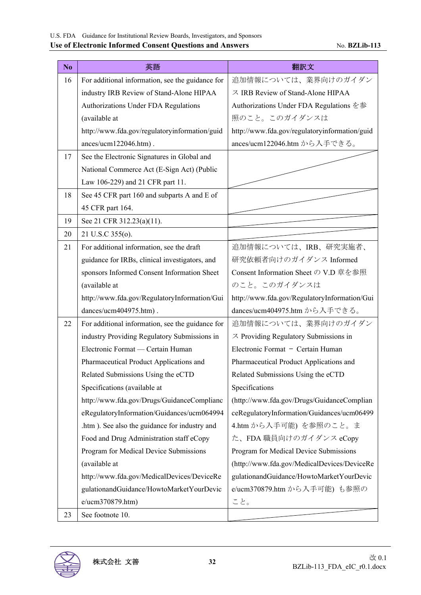| N <sub>o</sub> | 英語                                               | 翻訳文                                           |
|----------------|--------------------------------------------------|-----------------------------------------------|
| 16             | For additional information, see the guidance for | 追加情報については、業界向けのガイダン                           |
|                | industry IRB Review of Stand-Alone HIPAA         | ス IRB Review of Stand-Alone HIPAA             |
|                | Authorizations Under FDA Regulations             | Authorizations Under FDA Regulations を参       |
|                | (available at                                    | 照のこと。このガイダンスは                                 |
|                | http://www.fda.gov/regulatoryinformation/guid    | http://www.fda.gov/regulatoryinformation/guid |
|                | ances/ucm122046.htm).                            | ances/ucm122046.htm から入手できる。                  |
| 17             | See the Electronic Signatures in Global and      |                                               |
|                | National Commerce Act (E-Sign Act) (Public       |                                               |
|                | Law 106-229) and 21 CFR part 11.                 |                                               |
| 18             | See 45 CFR part 160 and subparts A and E of      |                                               |
|                | 45 CFR part 164.                                 |                                               |
| 19             | See 21 CFR 312.23(a)(11).                        |                                               |
| 20             | 21 U.S.C 355(o).                                 |                                               |
| 21             | For additional information, see the draft        | 追加情報については、IRB、研究実施者、                          |
|                | guidance for IRBs, clinical investigators, and   | 研究依頼者向けのガイダンス Informed                        |
|                | sponsors Informed Consent Information Sheet      | Consent Information Sheet の V.D 章を参照          |
|                | (available at                                    | のこと。このガイダンスは                                  |
|                | http://www.fda.gov/RegulatoryInformation/Gui     | http://www.fda.gov/RegulatoryInformation/Gui  |
|                | dances/ucm404975.htm).                           | dances/ucm404975.htm から入手できる。                 |
| 22             | For additional information, see the guidance for | 追加情報については、業界向けのガイダン                           |
|                | industry Providing Regulatory Submissions in     | $\chi$ Providing Regulatory Submissions in    |
|                | Electronic Format — Certain Human                | Electronic Format - Certain Human             |
|                | Pharmaceutical Product Applications and          | Pharmaceutical Product Applications and       |
|                | Related Submissions Using the eCTD               | Related Submissions Using the eCTD            |
|                | Specifications (available at                     | Specifications                                |
|                | http://www.fda.gov/Drugs/GuidanceComplianc       | (http://www.fda.gov/Drugs/GuidanceComplian    |
|                | eRegulatoryInformation/Guidances/ucm064994       | ceRegulatoryInformation/Guidances/ucm06499    |
|                | .htm ). See also the guidance for industry and   | 4.htm から入手可能) を参照のこと。ま                        |
|                | Food and Drug Administration staff eCopy         | た、FDA 職員向けのガイダンス eCopy                        |
|                | Program for Medical Device Submissions           | Program for Medical Device Submissions        |
|                | (available at                                    | (http://www.fda.gov/MedicalDevices/DeviceRe   |
|                | http://www.fda.gov/MedicalDevices/DeviceRe       | gulationandGuidance/HowtoMarketYourDevic      |
|                | gulationandGuidance/HowtoMarketYourDevic         | e/ucm370879.htm から入手可能) も参照の                  |
|                | e/ucm370879.htm)                                 | こと。                                           |
| 23             | See footnote 10.                                 |                                               |